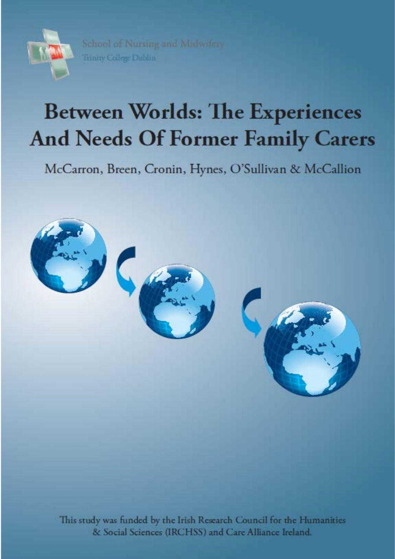

School of Nursing and Midwifery Trinity College Dublin

# **Between Worlds: The Experiences And Needs Of Former Family Carers**

McCarron, Breen, Cronin, Hynes, O'Sullivan & McCallion



This study was funded by the Irish Research Council for the Humanities & Social Sciences (IRCHSS) and Care Alliance Ireland.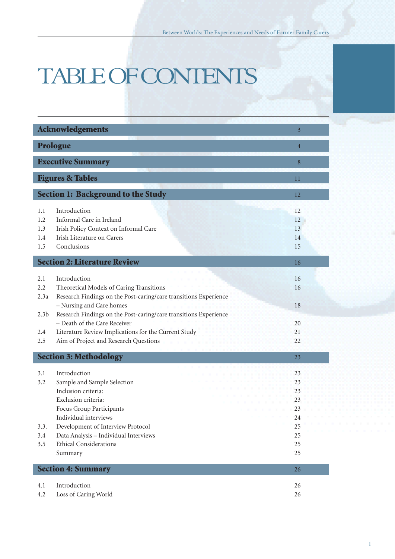# TABLE OF CONTENTS

| <b>Acknowledgements</b><br>$\overline{3}$ |                                                                                                                                                                                                                                                                          |                                                          |  |  |
|-------------------------------------------|--------------------------------------------------------------------------------------------------------------------------------------------------------------------------------------------------------------------------------------------------------------------------|----------------------------------------------------------|--|--|
| Prologue<br>$\overline{4}$                |                                                                                                                                                                                                                                                                          |                                                          |  |  |
| <b>Executive Summary</b>                  |                                                                                                                                                                                                                                                                          |                                                          |  |  |
|                                           | <b>Figures &amp; Tables</b><br>11                                                                                                                                                                                                                                        |                                                          |  |  |
|                                           | <b>Section 1: Background to the Study</b>                                                                                                                                                                                                                                | 12                                                       |  |  |
| 1.1<br>1.2<br>1.3<br>1.4<br>1.5           | Introduction<br>Informal Care in Ireland<br>Irish Policy Context on Informal Care<br>Irish Literature on Carers<br>Conclusions                                                                                                                                           | 12<br>12<br>13<br>14<br>15                               |  |  |
|                                           | <b>Section 2: Literature Review</b>                                                                                                                                                                                                                                      | 16                                                       |  |  |
| 2.1<br>2.2<br>2.3a<br>2.3 <sub>b</sub>    | Introduction<br>Theoretical Models of Caring Transitions<br>Research Findings on the Post-caring/care transitions Experience<br>- Nursing and Care homes<br>Research Findings on the Post-caring/care transitions Experience                                             | 16<br>16<br>18                                           |  |  |
| 2.4<br>2.5                                | - Death of the Care Receiver<br>Literature Review Implications for the Current Study<br>Aim of Project and Research Questions                                                                                                                                            | 20<br>21<br>22                                           |  |  |
| <b>Section 3: Methodology</b><br>23       |                                                                                                                                                                                                                                                                          |                                                          |  |  |
| 3.1<br>3.2<br>3.3.<br>3.4<br>3.5          | Introduction<br>Sample and Sample Selection<br>Inclusion criteria:<br>Exclusion criteria:<br>Focus Group Participants<br>Individual interviews<br>Development of Interview Protocol<br>Data Analysis - Individual Interviews<br><b>Ethical Considerations</b><br>Summary | 23<br>23<br>23<br>23<br>23<br>24<br>25<br>25<br>25<br>25 |  |  |
|                                           | <b>Section 4: Summary</b>                                                                                                                                                                                                                                                | 26                                                       |  |  |
| 4.1<br>4.2                                | Introduction<br>Loss of Caring World                                                                                                                                                                                                                                     | 26<br>26                                                 |  |  |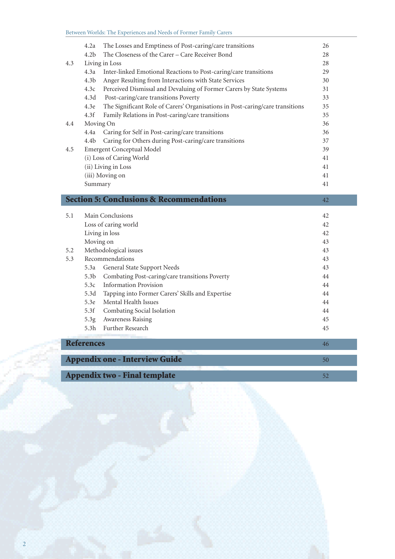|     | <b>Information Provision</b><br>5.3c<br>5.3d<br>Tapping into Former Carers' Skills and Expertise<br>Mental Health Issues<br>5.3e<br>5.3f<br>Combating Social Isolation<br>Awareness Raising<br>5.3g<br>Further Research<br>5.3 <sub>h</sub><br><b>References</b> | 44<br>44<br>44<br>44<br>45<br>45<br>46 |
|-----|------------------------------------------------------------------------------------------------------------------------------------------------------------------------------------------------------------------------------------------------------------------|----------------------------------------|
|     |                                                                                                                                                                                                                                                                  |                                        |
|     |                                                                                                                                                                                                                                                                  |                                        |
|     |                                                                                                                                                                                                                                                                  |                                        |
|     |                                                                                                                                                                                                                                                                  |                                        |
|     |                                                                                                                                                                                                                                                                  |                                        |
|     |                                                                                                                                                                                                                                                                  |                                        |
|     |                                                                                                                                                                                                                                                                  |                                        |
|     | Combating Post-caring/care transitions Poverty<br>5.3 <sub>b</sub>                                                                                                                                                                                               | 44                                     |
|     | General State Support Needs<br>5.3a                                                                                                                                                                                                                              | 43                                     |
| 5.3 | Recommendations                                                                                                                                                                                                                                                  | 43                                     |
| 5.2 | Methodological issues                                                                                                                                                                                                                                            | 43                                     |
|     | Moving on                                                                                                                                                                                                                                                        | 43                                     |
|     | Living in loss                                                                                                                                                                                                                                                   | 42                                     |
| 5.1 | Main Conclusions<br>Loss of caring world                                                                                                                                                                                                                         | 42<br>42                               |
|     | <b>Section 5: Conclusions &amp; Recommendations</b>                                                                                                                                                                                                              | 42                                     |
|     | Summary                                                                                                                                                                                                                                                          | 41                                     |
|     | (iii) Moving on                                                                                                                                                                                                                                                  | 41                                     |
|     | (ii) Living in Loss                                                                                                                                                                                                                                              | 41                                     |
|     | (i) Loss of Caring World                                                                                                                                                                                                                                         | 41                                     |
| 4.5 | <b>Emergent Conceptual Model</b>                                                                                                                                                                                                                                 | 39                                     |
|     | Caring for Others during Post-caring/care transitions<br>4.4 <sub>b</sub>                                                                                                                                                                                        | 37                                     |
|     | 4.4a<br>Caring for Self in Post-caring/care transitions                                                                                                                                                                                                          | 36                                     |
| 4.4 | Moving On                                                                                                                                                                                                                                                        | 36                                     |
|     | 4.3f<br>Family Relations in Post-caring/care transitions                                                                                                                                                                                                         | 35                                     |
|     | The Significant Role of Carers' Organisations in Post-caring/care transitions<br>4.3e                                                                                                                                                                            | 35                                     |
|     | 4.3d<br>Post-caring/care transitions Poverty                                                                                                                                                                                                                     | 33                                     |
|     | 4.3c<br>Perceived Dismissal and Devaluing of Former Carers by State Systems                                                                                                                                                                                      | 31                                     |
|     | Inter-linked Emotional Reactions to Post-caring/care transitions<br>4.3 <sub>b</sub><br>Anger Resulting from Interactions with State Services                                                                                                                    | 30                                     |
|     | Living in Loss<br>4.3a                                                                                                                                                                                                                                           | 28<br>29                               |
|     | The Closeness of the Carer - Care Receiver Bond<br>4.2 <sub>b</sub>                                                                                                                                                                                              | 28                                     |
| 4.3 |                                                                                                                                                                                                                                                                  |                                        |

|  | <b>Appendix two - Final template</b> |  |
|--|--------------------------------------|--|
|--|--------------------------------------|--|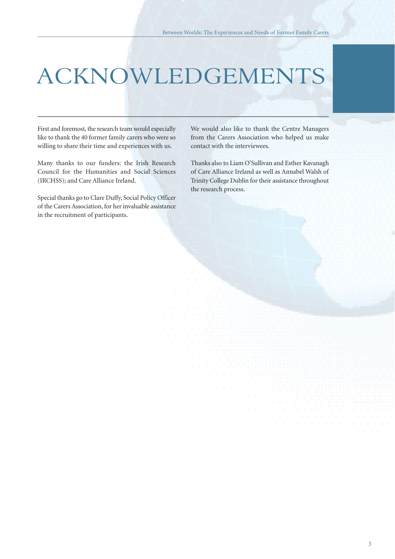# ACKNOWLEDGEMENTS

First and foremost, the research team would especially like to thank the 40 former family carers who were so willing to share their time and experiences with us.

Many thanks to our funders: the Irish Research Council for the Humanities and Social Sciences (IRCHSS); and Care Alliance Ireland.

Special thanks go to Clare Duffy, Social Policy Officer of the Carers Association, for her invaluable assistance in the recruitment of participants.

We would also like to thank the Centre Managers from the Carers Association who helped us make contact with the interviewees.

Thanks also to Liam O'Sullivan and Esther Kavanagh of Care Alliance Ireland as well as Annabel Walsh of Trinity College Dublin for their assistance throughout the research process.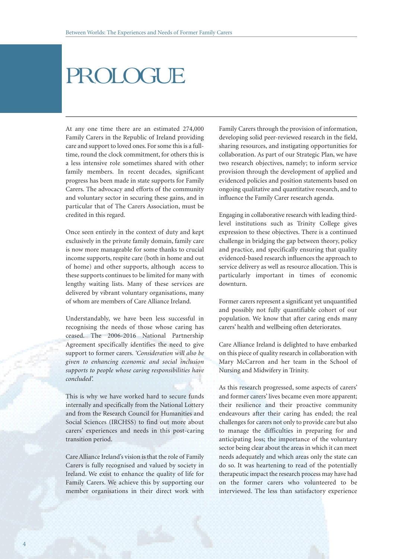## PROLOGUE

At any one time there are an estimated 274,000 Family Carers in the Republic of Ireland providing care and support to loved ones. For some this is a fulltime, round the clock commitment, for others this is a less intensive role sometimes shared with other family members. In recent decades, significant progress has been made in state supports for Family Carers. The advocacy and efforts of the community and voluntary sector in securing these gains, and in particular that of The Carers Association, must be credited in this regard.

Once seen entirely in the context of duty and kept exclusively in the private family domain, family care is now more manageable for some thanks to crucial income supports, respite care (both in home and out of home) and other supports, although access to these supports continues to be limited for many with lengthy waiting lists. Many of these services are delivered by vibrant voluntary organisations, many of whom are members of Care Alliance Ireland.

Understandably, we have been less successful in recognising the needs of those whose caring has ceased. The 2006-2016 National Partnership Agreement specifically identifies the need to give support to former carers. *'Consideration will also be given to enhancing economic and social inclusion supports to people whose caring responsibilities have concluded'.*

This is why we have worked hard to secure funds internally and specifically from the National Lottery and from the Research Council for Humanities and Social Sciences (IRCHSS) to find out more about carers' experiences and needs in this post-caring transition period.

Care Alliance Ireland's vision is that the role of Family Carers is fully recognised and valued by society in Ireland. We exist to enhance the quality of life for Family Carers. We achieve this by supporting our member organisations in their direct work with

Family Carers through the provision of information, developing solid peer-reviewed research in the field, sharing resources, and instigating opportunities for collaboration. As part of our Strategic Plan, we have two research objectives, namely; to inform service provision through the development of applied and evidenced policies and position statements based on ongoing qualitative and quantitative research, and to influence the Family Carer research agenda.

Engaging in collaborative research with leading thirdlevel institutions such as Trinity College gives expression to these objectives. There is a continued challenge in bridging the gap between theory, policy and practice, and specifically ensuring that quality evidenced-based research influences the approach to service delivery as well as resource allocation. This is particularly important in times of economic downturn.

Former carers represent a significant yet unquantified and possibly not fully quantifiable cohort of our population. We know that after caring ends many carers' health and wellbeing often deteriorates.

Care Alliance Ireland is delighted to have embarked on this piece of quality research in collaboration with Mary McCarron and her team in the School of Nursing and Midwifery in Trinity.

As this research progressed, some aspects of carers' and former carers' lives became even more apparent; their resilience and their proactive community endeavours after their caring has ended; the real challenges for carers not only to provide care but also to manage the difficulties in preparing for and anticipating loss; the importance of the voluntary sector being clear about the areas in which it can meet needs adequately and which areas only the state can do so. It was heartening to read of the potentially therapeutic impact the research process may have had on the former carers who volunteered to be interviewed. The less than satisfactory experience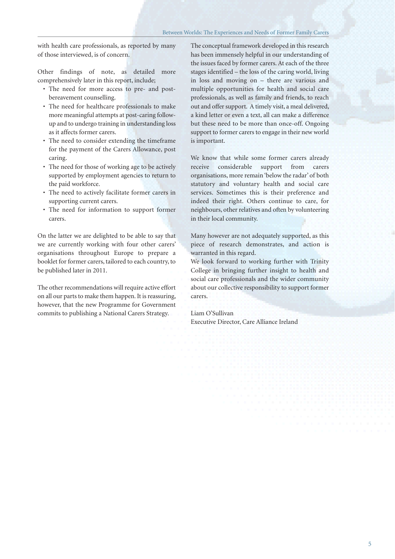with health care professionals, as reported by many of those interviewed, is of concern.

Other findings of note, as detailed more comprehensively later in this report, include;

- The need for more access to pre- and postbereavement counselling.
- The need for healthcare professionals to make more meaningful attempts at post-caring followup and to undergo training in understanding loss as it affects former carers.
- The need to consider extending the timeframe for the payment of the Carers Allowance, post caring.
- The need for those of working age to be actively supported by employment agencies to return to the paid workforce.
- The need to actively facilitate former carers in supporting current carers.
- The need for information to support former carers.

On the latter we are delighted to be able to say that we are currently working with four other carers' organisations throughout Europe to prepare a booklet for former carers, tailored to each country, to be published later in 2011.

The other recommendations will require active effort on all our parts to make them happen. It is reassuring, however, that the new Programme for Government commits to publishing a National Carers Strategy.

The conceptual framework developed in this research has been immensely helpful in our understanding of the issues faced by former carers. At each of the three stages identified – the loss of the caring world, living in loss and moving on – there are various and multiple opportunities for health and social care professionals, as well as family and friends, to reach out and offer support. A timely visit, a meal delivered, a kind letter or even a text, all can make a difference but these need to be more than once-off. Ongoing support to former carers to engage in their new world is important.

We know that while some former carers already receive considerable support from carers organisations, more remain 'below the radar' of both statutory and voluntary health and social care services. Sometimes this is their preference and indeed their right. Others continue to care, for neighbours, other relatives and often by volunteering in their local community.

Many however are not adequately supported, as this piece of research demonstrates, and action is warranted in this regard.

We look forward to working further with Trinity College in bringing further insight to health and social care professionals and the wider community about our collective responsibility to support former carers.

Liam O'Sullivan Executive Director, Care Alliance Ireland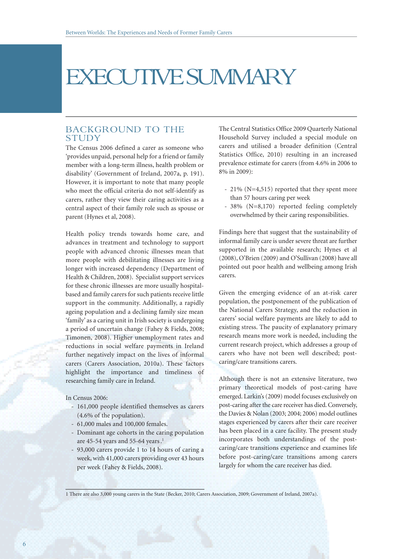## EXECUTIVE SUMMARY

#### BACKGROUND TO THE STUDY

The Census 2006 defined a carer as someone who 'provides unpaid, personal help for a friend or family member with a long-term illness, health problem or disability' (Government of Ireland, 2007a, p. 191). However, it is important to note that many people who meet the official criteria do not self-identify as carers, rather they view their caring activities as a central aspect of their family role such as spouse or parent (Hynes et al, 2008).

Health policy trends towards home care, and advances in treatment and technology to support people with advanced chronic illnesses mean that more people with debilitating illnesses are living longer with increased dependency (Department of Health & Children, 2008). Specialist support services for these chronic illnesses are more usually hospitalbased and family carers for such patients receive little support in the community. Additionally, a rapidly ageing population and a declining family size mean 'family' as a caring unit in Irish society is undergoing a period of uncertain change (Fahey & Fields, 2008; Timonen, 2008). Higher unemployment rates and reductions in social welfare payments in Ireland further negatively impact on the lives of informal carers (Carers Association, 2010a). These factors highlight the importance and timeliness of researching family care in Ireland.

In Census 2006:

- 161,000 people identified themselves as carers (4.6% of the population).
- 61,000 males and 100,000 females.
- Dominant age cohorts in the caring population are 45-54 years and 55-64 years.<sup>1</sup>
- 93,000 carers provide 1 to 14 hours of caring a week, with 41,000 carers providing over 43 hours per week (Fahey & Fields, 2008).

The Central Statistics Office 2009 Quarterly National Household Survey included a special module on carers and utilised a broader definition (Central Statistics Office, 2010) resulting in an increased prevalence estimate for carers (from 4.6% in 2006 to 8% in 2009):

- 21% (N=4,515) reported that they spent more than 57 hours caring per week
- 38% (N=8,170) reported feeling completely overwhelmed by their caring responsibilities.

Findings here that suggest that the sustainability of informal family care is under severe threat are further supported in the available research; Hynes et al (2008), O'Brien (2009) and O'Sullivan (2008) have all pointed out poor health and wellbeing among Irish carers.

Given the emerging evidence of an at-risk carer population, the postponement of the publication of the National Carers Strategy, and the reduction in carers' social welfare payments are likely to add to existing stress. The paucity of explanatory primary research means more work is needed, including the current research project, which addresses a group of carers who have not been well described; postcaring/care transitions carers.

Although there is not an extensive literature, two primary theoretical models of post-caring have emerged. Larkin's (2009) model focuses exclusively on post-caring after the care receiver has died. Conversely, the Davies & Nolan (2003; 2004; 2006) model outlines stages experienced by carers after their care receiver has been placed in a care facility. The present study incorporates both understandings of the postcaring/care transitions experience and examines life before post-caring/care transitions among carers largely for whom the care receiver has died.

1 There are also 3,000 young carers in the State (Becker, 2010; Carers Association, 2009; Government of Ireland, 2007a).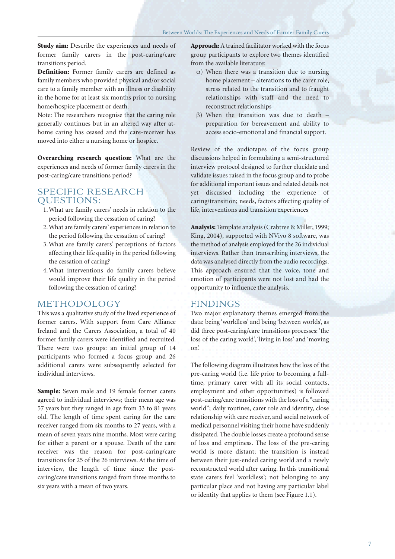**Study aim:** Describe the experiences and needs of former family carers in the post-caring/care transitions period.

**Definition:** Former family carers are defined as family members who provided physical and/or social care to a family member with an illness or disability in the home for at least six months prior to nursing home/hospice placement or death.

Note: The researchers recognise that the caring role generally continues but in an altered way after athome caring has ceased and the care-receiver has moved into either a nursing home or hospice.

**Overarching research question:** What are the experiences and needs of former family carers in the post-caring/care transitions period?

#### SPECIFIC RESEARCH QUESTIONS:

- 1. What are family carers' needs in relation to the period following the cessation of caring?
- 2. What are family carers' experiences in relation to the period following the cessation of caring?
- 3. What are family carers' perceptions of factors affecting their life quality in the period following the cessation of caring?
- 4. What interventions do family carers believe would improve their life quality in the period following the cessation of caring?

#### METHODOLOGY

This was a qualitative study of the lived experience of former carers. With support from Care Alliance Ireland and the Carers Association, a total of 40 former family carers were identified and recruited. There were two groups: an initial group of 14 participants who formed a focus group and 26 additional carers were subsequently selected for individual interviews.

**Sample:** Seven male and 19 female former carers agreed to individual interviews; their mean age was 57 years but they ranged in age from 33 to 81 years old. The length of time spent caring for the care receiver ranged from six months to 27 years, with a mean of seven years nine months. Most were caring for either a parent or a spouse. Death of the care receiver was the reason for post-caring/care transitions for 25 of the 26 interviews. At the time of interview, the length of time since the postcaring/care transitions ranged from three months to six years with a mean of two years.

**Approach:** A trained facilitator worked with the focus group participants to explore two themes identified from the available literature:

- $\alpha$ ) When there was a transition due to nursing home placement – alterations to the carer role, stress related to the transition and to fraught relationships with staff and the need to reconstruct relationships
- β) When the transition was due to death preparation for bereavement and ability to access socio-emotional and financial support.

Review of the audiotapes of the focus group discussions helped in formulating a semi-structured interview protocol designed to further elucidate and validate issues raised in the focus group and to probe for additional important issues and related details not yet discussed including the experience of caring/transition; needs, factors affecting quality of life, interventions and transition experiences

**Analysis:** Template analysis (Crabtree & Miller, 1999; King, 2004), supported with NVivo 8 software, was the method of analysis employed for the 26 individual interviews. Rather than transcribing interviews, the data was analysed directly from the audio recordings. This approach ensured that the voice, tone and emotion of participants were not lost and had the opportunity to influence the analysis.

#### FINDINGS

Two major explanatory themes emerged from the data: being 'worldless' and being 'between worlds', as did three post-caring/care transitions processes: 'the loss of the caring world', 'living in loss' and 'moving on'.

The following diagram illustrates how the loss of the pre-caring world (i.e. life prior to becoming a fulltime, primary carer with all its social contacts, employment and other opportunities) is followed post-caring/care transitions with the loss of a "caring world"; daily routines, carer role and identity, close relationship with care receiver, and social network of medical personnel visiting their home have suddenly dissipated. The double losses create a profound sense of loss and emptiness. The loss of the pre-caring world is more distant; the transition is instead between their just-ended caring world and a newly reconstructed world after caring. In this transitional state carers feel 'worldless'; not belonging to any particular place and not having any particular label or identity that applies to them (see Figure 1.1).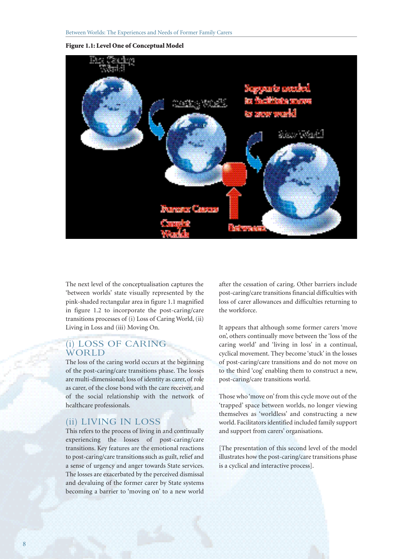#### **Figure 1.1: Level One of Conceptual Model**



The next level of the conceptualisation captures the 'between worlds' state visually represented by the pink-shaded rectangular area in figure 1.1 magnified in figure 1.2 to incorporate the post-caring/care transitions processes of (i) Loss of Caring World, (ii) Living in Loss and (iii) Moving On.

#### (i) LOSS OF CARING **WORLD**

The loss of the caring world occurs at the beginning of the post-caring/care transitions phase. The losses are multi-dimensional; loss of identity as carer, of role as carer, of the close bond with the care receiver, and of the social relationship with the network of healthcare professionals.

#### (ii) LIVING IN LOSS

This refers to the process of living in and continually experiencing the losses of post-caring/care transitions. Key features are the emotional reactions to post-caring/care transitions such as guilt, relief and a sense of urgency and anger towards State services. The losses are exacerbated by the perceived dismissal and devaluing of the former carer by State systems becoming a barrier to 'moving on' to a new world

after the cessation of caring. Other barriers include post-caring/care transitions financial difficulties with loss of carer allowances and difficulties returning to the workforce.

It appears that although some former carers 'move on', others continually move between the 'loss of the caring world' and 'living in loss' in a continual, cyclical movement. They become 'stuck' in the losses of post-caring/care transitions and do not move on to the third 'cog' enabling them to construct a new, post-caring/care transitions world.

Those who 'move on' from this cycle move out of the 'trapped' space between worlds, no longer viewing themselves as 'worldless' and constructing a new world. Facilitators identified included family support and support from carers' organisations.

[The presentation of this second level of the model illustrates how the post-caring/care transitions phase is a cyclical and interactive process].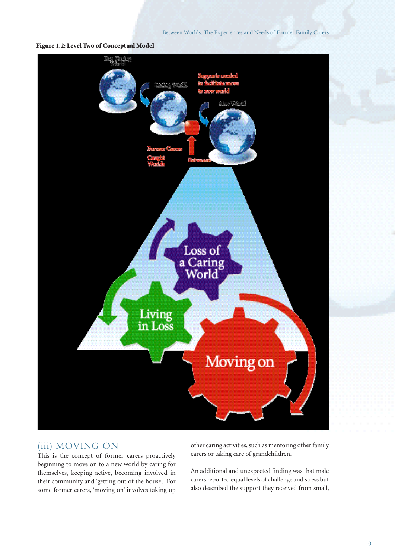Between Worlds: The Experiences and Needs of Former Family Carers

**Figure 1.2: Level Two of Conceptual Model**



#### (iii) MOVING ON

This is the concept of former carers proactively beginning to move on to a new world by caring for themselves, keeping active, becoming involved in their community and 'getting out of the house'. For some former carers, 'moving on' involves taking up other caring activities, such as mentoring other family carers or taking care of grandchildren.

An additional and unexpected finding was that male carers reported equal levels of challenge and stress but also described the support they received from small,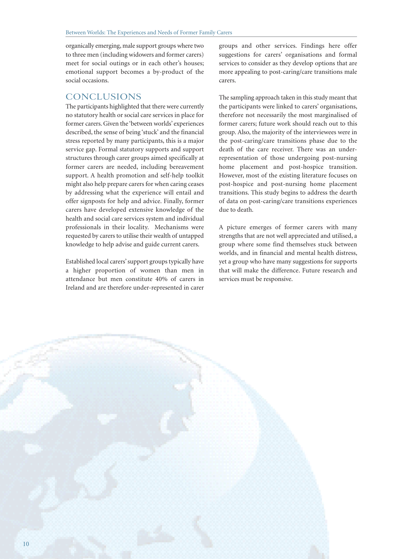organically emerging, male support groups where two to three men (including widowers and former carers) meet for social outings or in each other's houses; emotional support becomes a by-product of the social occasions.

#### CONCLUSIONS

The participants highlighted that there were currently no statutory health or social care services in place for former carers. Given the 'between worlds' experiences described, the sense of being 'stuck' and the financial stress reported by many participants, this is a major service gap. Formal statutory supports and support structures through carer groups aimed specifically at former carers are needed, including bereavement support. A health promotion and self-help toolkit might also help prepare carers for when caring ceases by addressing what the experience will entail and offer signposts for help and advice. Finally, former carers have developed extensive knowledge of the health and social care services system and individual professionals in their locality. Mechanisms were requested by carers to utilise their wealth of untapped knowledge to help advise and guide current carers.

Established local carers' support groups typically have a higher proportion of women than men in attendance but men constitute 40% of carers in Ireland and are therefore under-represented in carer

groups and other services. Findings here offer suggestions for carers' organisations and formal services to consider as they develop options that are more appealing to post-caring/care transitions male carers.

The sampling approach taken in this study meant that the participants were linked to carers' organisations, therefore not necessarily the most marginalised of former carers; future work should reach out to this group. Also, the majority of the interviewees were in the post-caring/care transitions phase due to the death of the care receiver. There was an underrepresentation of those undergoing post-nursing home placement and post-hospice transition. However, most of the existing literature focuses on post-hospice and post-nursing home placement transitions. This study begins to address the dearth of data on post-caring/care transitions experiences due to death.

A picture emerges of former carers with many strengths that are not well appreciated and utilised, a group where some find themselves stuck between worlds, and in financial and mental health distress, yet a group who have many suggestions for supports that will make the difference. Future research and services must be responsive.

10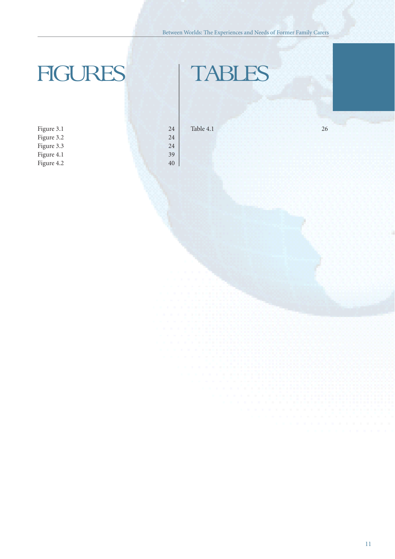#### Between Worlds: The Experiences and Needs of Former Family Carers

# FIGURES | TABLES

| Figure 3.1 | 24 |
|------------|----|
| Figure 3.2 | 24 |
| Figure 3.3 | 24 |
| Figure 4.1 | 39 |
| Figure 4.2 | 40 |

Table 4.1 26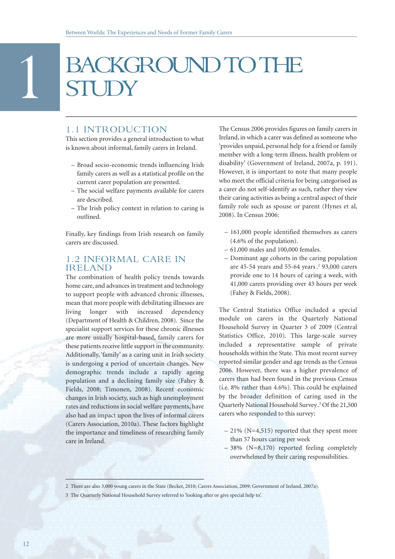# BACKGROUND TO THE<br>STUDY

#### 1.1 INTRODUCTION

This section provides a general introduction to what is known about informal, family carers in Ireland.

- Broad socio-economic trends influencing Irish family carers as well as a statistical profile on the current carer population are presented.
- The social welfare payments available for carers are described.
- The Irish policy context in relation to caring is outlined.

Finally, key findings from Irish research on family carers are discussed.

#### 1.2 INFORMAL CARE IN IRELAND

The combination of health policy trends towards home care, and advances in treatment and technology to support people with advanced chronic illnesses, mean that more people with debilitating illnesses are living longer with increased dependency (Department of Health & Children, 2008). Since the specialist support services for these chronic illnesses are more usually hospital-based, family carers for these patients receive little support in the community. Additionally, 'family' as a caring unit in Irish society is undergoing a period of uncertain changes. New demographic trends include a rapidly ageing population and a declining family size (Fahey & Fields, 2008; Timonen, 2008). Recent economic changes in Irish society, such as high unemployment rates and reductions in social welfare payments, have also had an impact upon the lives of informal carers (Carers Association, 2010a). These factors highlight the importance and timeliness of researching family care in Ireland.

The Census 2006 provides figures on family carers in Ireland, in which a carer was defined as someone who 'provides unpaid, personal help for a friend or family member with a long-term illness, health problem or disability' (Government of Ireland, 2007a, p. 191). However, it is important to note that many people who meet the official criteria for being categorised as a carer do not self-identify as such, rather they view their caring activities as being a central aspect of their family role such as spouse or parent (Hynes et al, 2008). In Census 2006:

- 161,000 people identified themselves as carers (4.6% of the population).
- 61,000 males and 100,000 females.
- Dominant age cohorts in the caring population are 45-54 years and 55-64 years .<sup>2</sup> 93,000 carers provide one to 14 hours of caring a week, with 41,000 carers providing over 43 hours per week (Fahey & Fields, 2008).

The Central Statistics Office included a special module on carers in the Quarterly National Household Survey in Quarter 3 of 2009 (Central Statistics Office, 2010). This large-scale survey included a representative sample of private households within the State. This most recent survey reported similar gender and age trends as the Census 2006. However, there was a higher prevalence of carers than had been found in the previous Census (i.e. 8% rather than 4.6%). This could be explained by the broader definition of caring used in the Quarterly National Household Survey.3 Of the 21,500 carers who responded to this survey:

- 21% (N=4,515) reported that they spent more than 57 hours caring per week
- 38% (N=8,170) reported feeling completely overwhelmed by their caring responsibilities.

<sup>2</sup> There are also 3,000 young carers in the State (Becker, 2010; Carers Association, 2009; Government of Ireland, 2007a).

<sup>3</sup> The Quarterly National Household Survey referred to 'looking after or give special help to'.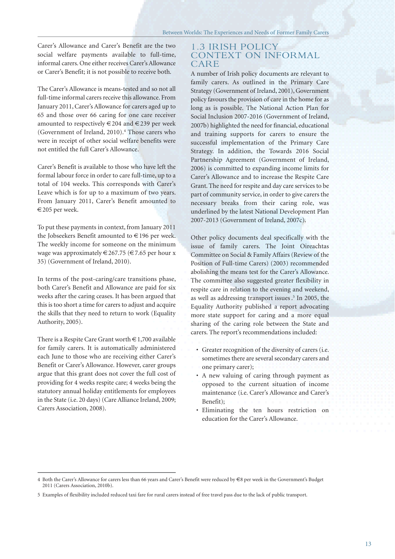Carer's Allowance and Carer's Benefit are the two social welfare payments available to full-time, informal carers. One either receives Carer's Allowance or Carer's Benefit; it is not possible to receive both.

The Carer's Allowance is means-tested and so not all full-time informal carers receive this allowance. From January 2011, Carer's Allowance for carers aged up to 65 and those over 66 caring for one care receiver amounted to respectively  $\in 204$  and  $\in 239$  per week (Government of Ireland, 2010).<sup>4</sup> Those carers who were in receipt of other social welfare benefits were not entitled the full Carer's Allowance.

Carer's Benefit is available to those who have left the formal labour force in order to care full-time, up to a total of 104 weeks. This corresponds with Carer's Leave which is for up to a maximum of two years. From January 2011, Carer's Benefit amounted to €205 per week.

To put these payments in context, from January 2011 the Jobseekers Benefit amounted to €196 per week. The weekly income for someone on the minimum wage was approximately  $\in$  267.75 ( $\in$  7.65 per hour x 35) (Government of Ireland, 2010).

In terms of the post-caring/care transitions phase, both Carer's Benefit and Allowance are paid for six weeks after the caring ceases. It has been argued that this is too short a time for carers to adjust and acquire the skills that they need to return to work (Equality Authority, 2005).

There is a Respite Care Grant worth  $\in$  1,700 available for family carers. It is automatically administered each June to those who are receiving either Carer's Benefit or Carer's Allowance. However, carer groups argue that this grant does not cover the full cost of providing for 4 weeks respite care; 4 weeks being the statutory annual holiday entitlements for employees in the State (i.e. 20 days) (Care Alliance Ireland, 2009; Carers Association, 2008).

#### 1.3 IRISH POLICY CONTEXT ON INFORMAL CARE

A number of Irish policy documents are relevant to family carers. As outlined in the Primary Care Strategy (Government of Ireland, 2001), Government policy favours the provision of care in the home for as long as is possible. The National Action Plan for Social Inclusion 2007-2016 (Government of Ireland, 2007b) highlighted the need for financial, educational and training supports for carers to ensure the successful implementation of the Primary Care Strategy. In addition, the Towards 2016 Social Partnership Agreement (Government of Ireland, 2006) is committed to expanding income limits for Carer's Allowance and to increase the Respite Care Grant. The need for respite and day care services to be part of community service, in order to give carers the necessary breaks from their caring role, was underlined by the latest National Development Plan 2007-2013 (Government of Ireland, 2007c).

Other policy documents deal specifically with the issue of family carers. The Joint Oireachtas Committee on Social & Family Affairs (Review of the Position of Full-time Carers) (2003) recommended abolishing the means test for the Carer's Allowance. The committee also suggested greater flexibility in respite care in relation to the evening and weekend, as well as addressing transport issues.<sup>5</sup> In 2005, the Equality Authority published a report advocating more state support for caring and a more equal sharing of the caring role between the State and carers. The report's recommendations included:

- Greater recognition of the diversity of carers (i.e. sometimes there are several secondary carers and one primary carer);
- A new valuing of caring through payment as opposed to the current situation of income maintenance (i.e. Carer's Allowance and Carer's Benefit);
- Eliminating the ten hours restriction on education for the Carer's Allowance.

<sup>4</sup> Both the Carer's Allowance for carers less than 66 years and Carer's Benefit were reduced by €8 per week in the Government's Budget 2011 (Carers Association, 2010b).

<sup>5</sup> Examples of flexibility included reduced taxi fare for rural carers instead of free travel pass due to the lack of public transport.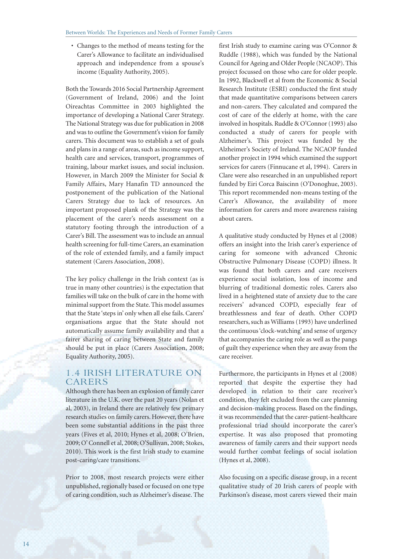• Changes to the method of means testing for the Carer's Allowance to facilitate an individualised approach and independence from a spouse's income (Equality Authority, 2005).

Both the Towards 2016 Social Partnership Agreement (Government of Ireland, 2006) and the Joint Oireachtas Committee in 2003 highlighted the importance of developing a National Carer Strategy. The National Strategy was due for publication in 2008 and was to outline the Government's vision for family carers. This document was to establish a set of goals and plans in a range of areas, such as income support, health care and services, transport, programmes of training, labour market issues, and social inclusion. However, in March 2009 the Minister for Social & Family Affairs, Mary Hanafin TD announced the postponement of the publication of the National Carers Strategy due to lack of resources. An important proposed plank of the Strategy was the placement of the carer's needs assessment on a statutory footing through the introduction of a Carer's Bill. The assessment was to include an annual health screening for full-time Carers, an examination of the role of extended family, and a family impact statement (Carers Association, 2008).

The key policy challenge in the Irish context (as is true in many other countries) is the expectation that families will take on the bulk of care in the home with minimal support from the State. This model assumes that the State 'steps in' only when all else fails. Carers' organisations argue that the State should not automatically assume family availability and that a fairer sharing of caring between State and family should be put in place (Carers Association, 2008; Equality Authority, 2005).

#### 1.4 IRISH LITERATURE ON CARERS

Although there has been an explosion of family carer literature in the U.K. over the past 20 years (Nolan et al, 2003), in Ireland there are relatively few primary research studies on family carers. However, there have been some substantial additions in the past three years (Fives et al, 2010; Hynes et al, 2008; O'Brien, 2009; O' Connell et al, 2008; O'Sullivan, 2008; Stokes, 2010). This work is the first Irish study to examine post-caring/care transitions.

Prior to 2008, most research projects were either unpublished, regionally based or focused on one type of caring condition, such as Alzheimer's disease. The

first Irish study to examine caring was O'Connor & Ruddle (1988), which was funded by the National Council for Ageing and Older People (NCAOP). This project focussed on those who care for older people. In 1992, Blackwell et al from the Economic & Social Research Institute (ESRI) conducted the first study that made quantitative comparisons between carers and non-carers. They calculated and compared the cost of care of the elderly at home, with the care involved in hospitals. Ruddle & O'Connor (1993) also conducted a study of carers for people with Alzheimer's. This project was funded by the Alzheimer's Society of Ireland. The NCAOP funded another project in 1994 which examined the support services for carers (Finnucane et al, 1994). Carers in Clare were also researched in an unpublished report funded by Eiri Corca Baiscinn (O'Donoghue, 2003). This report recommended non-means testing of the Carer's Allowance, the availability of more information for carers and more awareness raising about carers.

A qualitative study conducted by Hynes et al (2008) offers an insight into the Irish carer's experience of caring for someone with advanced Chronic Obstructive Pulmonary Disease (COPD) illness. It was found that both carers and care receivers experience social isolation, loss of income and blurring of traditional domestic roles. Carers also lived in a heightened state of anxiety due to the care receivers' advanced COPD, especially fear of breathlessness and fear of death. Other COPD researchers, such as Williams (1993) have underlined the continuous 'clock-watching' and sense of urgency that accompanies the caring role as well as the pangs of guilt they experience when they are away from the care receiver.

Furthermore, the participants in Hynes et al (2008) reported that despite the expertise they had developed in relation to their care receiver's condition, they felt excluded from the care planning and decision-making process. Based on the findings, it was recommended that the carer-patient-healthcare professional triad should incorporate the carer's expertise. It was also proposed that promoting awareness of family carers and their support needs would further combat feelings of social isolation (Hynes et al, 2008).

Also focusing on a specific disease group, in a recent qualitative study of 20 Irish carers of people with Parkinson's disease, most carers viewed their main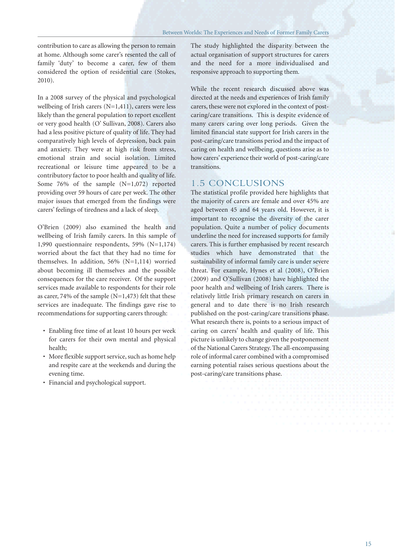contribution to care as allowing the person to remain at home. Although some carer's resented the call of family 'duty' to become a carer, few of them considered the option of residential care (Stokes, 2010).

In a 2008 survey of the physical and psychological wellbeing of Irish carers (N=1,411), carers were less likely than the general population to report excellent or very good health (O' Sullivan, 2008). Carers also had a less positive picture of quality of life. They had comparatively high levels of depression, back pain and anxiety. They were at high risk from stress, emotional strain and social isolation. Limited recreational or leisure time appeared to be a contributory factor to poor health and quality of life. Some 76% of the sample (N=1,072) reported providing over 59 hours of care per week. The other major issues that emerged from the findings were carers' feelings of tiredness and a lack of sleep.

O'Brien (2009) also examined the health and wellbeing of Irish family carers. In this sample of 1,990 questionnaire respondents, 59% (N=1,174) worried about the fact that they had no time for themselves. In addition, 56% (N=1,114) worried about becoming ill themselves and the possible consequences for the care receiver. Of the support services made available to respondents for their role as carer, 74% of the sample  $(N=1,473)$  felt that these services are inadequate. The findings gave rise to recommendations for supporting carers through:

- Enabling free time of at least 10 hours per week for carers for their own mental and physical health;
- More flexible support service, such as home help and respite care at the weekends and during the evening time.
- Financial and psychological support.

The study highlighted the disparity between the actual organisation of support structures for carers and the need for a more individualised and responsive approach to supporting them.

While the recent research discussed above was directed at the needs and experiences of Irish family carers, these were not explored in the context of postcaring/care transitions. This is despite evidence of many carers caring over long periods. Given the limited financial state support for Irish carers in the post-caring/care transitions period and the impact of caring on health and wellbeing, questions arise as to how carers' experience their world of post-caring/care transitions.

#### 1.5 CONCLUSIONS

The statistical profile provided here highlights that the majority of carers are female and over 45% are aged between 45 and 64 years old. However, it is important to recognise the diversity of the carer population. Quite a number of policy documents underline the need for increased supports for family carers. This is further emphasised by recent research studies which have demonstrated that the sustainability of informal family care is under severe threat. For example, Hynes et al (2008), O'Brien (2009) and O'Sullivan (2008) have highlighted the poor health and wellbeing of Irish carers. There is relatively little Irish primary research on carers in general and to date there is no Irish research published on the post-caring/care transitions phase. What research there is, points to a serious impact of caring on carers' health and quality of life. This picture is unlikely to change given the postponement of the National Carers Strategy. The all-encompassing role of informal carer combined with a compromised earning potential raises serious questions about the post-caring/care transitions phase.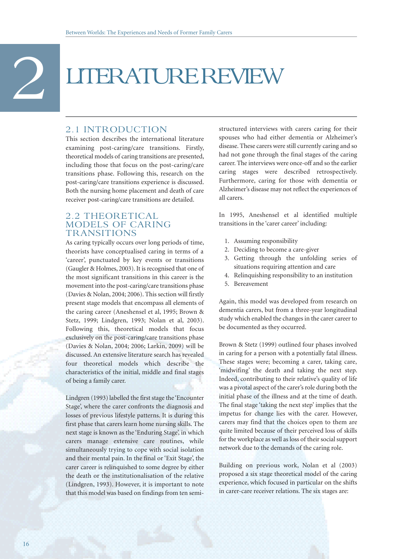# 2 LITERATURE REVIEW

#### 2.1 INTRODUCTION

This section describes the international literature examining post-caring/care transitions. Firstly, theoretical models of caring transitions are presented, including those that focus on the post-caring/care transitions phase. Following this, research on the post-caring/care transitions experience is discussed. Both the nursing home placement and death of care receiver post-caring/care transitions are detailed.

#### 2.2 THEORETICAL MODELS OF CARING **TRANSITIONS**

As caring typically occurs over long periods of time, theorists have conceptualised caring in terms of a 'career', punctuated by key events or transitions (Gaugler & Holmes, 2003). It is recognised that one of the most significant transitions in this career is the movement into the post-caring/care transitions phase (Davies & Nolan, 2004; 2006). This section will firstly present stage models that encompass all elements of the caring career (Aneshensel et al, 1995; Brown & Stetz, 1999; Lindgren, 1993; Nolan et al, 2003). Following this, theoretical models that focus exclusively on the post-caring/care transitions phase (Davies & Nolan, 2004; 2006; Larkin, 2009) will be discussed. An extensive literature search has revealed four theoretical models which describe the characteristics of the initial, middle and final stages of being a family carer.

Lindgren (1993) labelled the first stage the 'Encounter Stage', where the carer confronts the diagnosis and losses of previous lifestyle patterns. It is during this first phase that carers learn home nursing skills. The next stage is known as the 'Enduring Stage', in which carers manage extensive care routines, while simultaneously trying to cope with social isolation and their mental pain. In the final or 'Exit Stage', the carer career is relinquished to some degree by either the death or the institutionalisation of the relative (Lindgren, 1993). However, it is important to note that this model was based on findings from ten semi-

structured interviews with carers caring for their spouses who had either dementia or Alzheimer's disease. These carers were still currently caring and so had not gone through the final stages of the caring career. The interviews were once-off and so the earlier caring stages were described retrospectively. Furthermore, caring for those with dementia or Alzheimer's disease may not reflect the experiences of all carers.

In 1995, Aneshensel et al identified multiple transitions in the 'carer career' including:

- 1. Assuming responsibility
- 2. Deciding to become a care-giver
- 3. Getting through the unfolding series of situations requiring attention and care
- 4. Relinquishing responsibility to an institution
- 5. Bereavement

Again, this model was developed from research on dementia carers, but from a three-year longitudinal study which enabled the changes in the carer career to be documented as they occurred.

Brown & Stetz (1999) outlined four phases involved in caring for a person with a potentially fatal illness. These stages were; becoming a carer, taking care, 'midwifing' the death and taking the next step. Indeed, contributing to their relative's quality of life was a pivotal aspect of the carer's role during both the initial phase of the illness and at the time of death. The final stage 'taking the next step' implies that the impetus for change lies with the carer. However, carers may find that the choices open to them are quite limited because of their perceived loss of skills for the workplace as well as loss of their social support network due to the demands of the caring role.

Building on previous work, Nolan et al (2003) proposed a six stage theoretical model of the caring experience, which focused in particular on the shifts in carer-care receiver relations. The six stages are: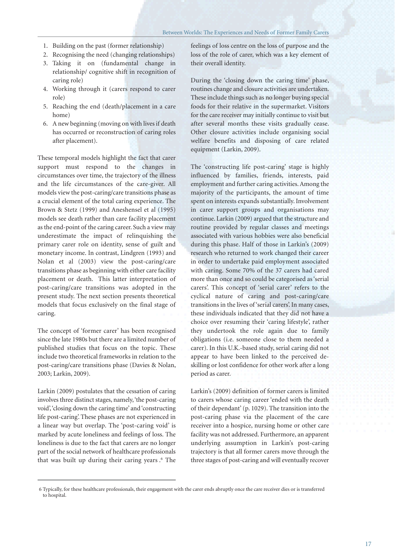- 1. Building on the past (former relationship)
- 2. Recognising the need (changing relationships)
- 3. Taking it on (fundamental change in relationship/ cognitive shift in recognition of caring role)
- 4. Working through it (carers respond to carer role)
- 5. Reaching the end (death/placement in a care home)
- 6. A new beginning (moving on with lives if death has occurred or reconstruction of caring roles after placement).

These temporal models highlight the fact that carer support must respond to the changes in circumstances over time, the trajectory of the illness and the life circumstances of the care-giver. All models view the post-caring/care transitions phase as a crucial element of the total caring experience. The Brown & Stetz (1999) and Aneshensel et al (1995) models see death rather than care facility placement as the end-point of the caring career. Such a view may underestimate the impact of relinquishing the primary carer role on identity, sense of guilt and monetary income. In contrast, Lindgren (1993) and Nolan et al (2003) view the post-caring/care transitions phase as beginning with either care facility placement or death. This latter interpretation of post-caring/care transitions was adopted in the present study. The next section presents theoretical models that focus exclusively on the final stage of caring.

The concept of 'former carer' has been recognised since the late 1980s but there are a limited number of published studies that focus on the topic. These include two theoretical frameworks in relation to the post-caring/care transitions phase (Davies & Nolan, 2003; Larkin, 2009).

Larkin (2009) postulates that the cessation of caring involves three distinct stages, namely, 'the post-caring void', 'closing down the caring time' and 'constructing life post-caring'. These phases are not experienced in a linear way but overlap. The 'post-caring void' is marked by acute loneliness and feelings of loss. The loneliness is due to the fact that carers are no longer part of the social network of healthcare professionals that was built up during their caring years .6 The

feelings of loss centre on the loss of purpose and the loss of the role of carer, which was a key element of their overall identity.

During the 'closing down the caring time' phase, routines change and closure activities are undertaken. These include things such as no longer buying special foods for their relative in the supermarket. Visitors for the care receiver may initially continue to visit but after several months these visits gradually cease. Other closure activities include organising social welfare benefits and disposing of care related equipment (Larkin, 2009).

The 'constructing life post-caring' stage is highly influenced by families, friends, interests, paid employment and further caring activities. Among the majority of the participants, the amount of time spent on interests expands substantially. Involvement in carer support groups and organisations may continue. Larkin (2009) argued that the structure and routine provided by regular classes and meetings associated with various hobbies were also beneficial during this phase. Half of those in Larkin's (2009) research who returned to work changed their career in order to undertake paid employment associated with caring. Some 70% of the 37 carers had cared more than once and so could be categorised as 'serial carers'. This concept of 'serial carer' refers to the cyclical nature of caring and post-caring/care transitions in the lives of 'serial carers'. In many cases, these individuals indicated that they did not have a choice over resuming their 'caring lifestyle', rather they undertook the role again due to family obligations (i.e. someone close to them needed a carer). In this U.K.-based study, serial caring did not appear to have been linked to the perceived deskilling or lost confidence for other work after a long period as carer.

Larkin's (2009) definition of former carers is limited to carers whose caring career 'ended with the death of their dependant' (p. 1029). The transition into the post-caring phase via the placement of the care receiver into a hospice, nursing home or other care facility was not addressed. Furthermore, an apparent underlying assumption in Larkin's post-caring trajectory is that all former carers move through the three stages of post-caring and will eventually recover

<sup>6</sup> Typically, for these healthcare professionals, their engagement with the carer ends abruptly once the care receiver dies or is transferred to hospital.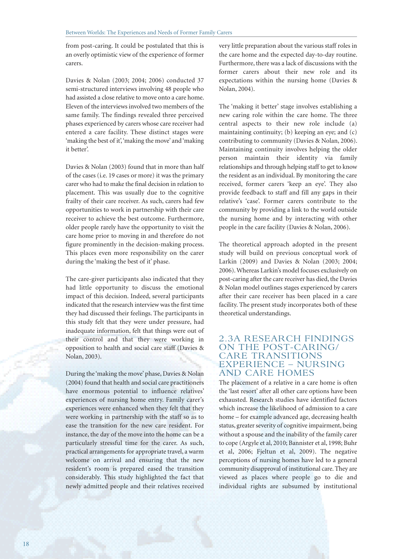from post-caring. It could be postulated that this is an overly optimistic view of the experience of former carers.

Davies & Nolan (2003; 2004; 2006) conducted 37 semi-structured interviews involving 48 people who had assisted a close relative to move onto a care home. Eleven of the interviews involved two members of the same family. The findings revealed three perceived phases experienced by carers whose care receiver had entered a care facility. These distinct stages were 'making the best of it', 'making the move' and 'making it better'.

Davies & Nolan (2003) found that in more than half of the cases (i.e. 19 cases or more) it was the primary carer who had to make the final decision in relation to placement. This was usually due to the cognitive frailty of their care receiver. As such, carers had few opportunities to work in partnership with their care receiver to achieve the best outcome. Furthermore, older people rarely have the opportunity to visit the care home prior to moving in and therefore do not figure prominently in the decision-making process. This places even more responsibility on the carer during the 'making the best of it' phase.

The care-giver participants also indicated that they had little opportunity to discuss the emotional impact of this decision. Indeed, several participants indicated that the research interview was the first time they had discussed their feelings. The participants in this study felt that they were under pressure, had inadequate information, felt that things were out of their control and that they were working in opposition to health and social care staff (Davies & Nolan, 2003).

During the 'making the move' phase, Davies & Nolan (2004) found that health and social care practitioners have enormous potential to influence relatives' experiences of nursing home entry. Family carer's experiences were enhanced when they felt that they were working in partnership with the staff so as to ease the transition for the new care resident. For instance, the day of the move into the home can be a particularly stressful time for the carer. As such, practical arrangements for appropriate travel, a warm welcome on arrival and ensuring that the new resident's room is prepared eased the transition considerably. This study highlighted the fact that newly admitted people and their relatives received

very little preparation about the various staff roles in the care home and the expected day-to-day routine. Furthermore, there was a lack of discussions with the former carers about their new role and its expectations within the nursing home (Davies & Nolan, 2004).

The 'making it better' stage involves establishing a new caring role within the care home. The three central aspects to their new role include (a) maintaining continuity; (b) keeping an eye; and (c) contributing to community (Davies & Nolan, 2006). Maintaining continuity involves helping the older person maintain their identity via family relationships and through helping staff to get to know the resident as an individual. By monitoring the care received, former carers 'keep an eye'. They also provide feedback to staff and fill any gaps in their relative's 'case'. Former carers contribute to the community by providing a link to the world outside the nursing home and by interacting with other people in the care facility (Davies & Nolan, 2006).

The theoretical approach adopted in the present study will build on previous conceptual work of Larkin (2009) and Davies & Nolan (2003; 2004; 2006). Whereas Larkin's model focuses exclusively on post-caring after the care receiver has died, the Davies & Nolan model outlines stages experienced by carers after their care receiver has been placed in a care facility. The present study incorporates both of these theoretical understandings.

#### 2.3A RESEARCH FINDINGS ON THE POST-CARING/ CARE TRANSITIONS EXPERIENCE – NURSING AND CARE HOMES

The placement of a relative in a care home is often the 'last resort' after all other care options have been exhausted. Research studies have identified factors which increase the likelihood of admission to a care home – for example advanced age, decreasing health status, greater severity of cognitive impairment, being without a spouse and the inability of the family carer to cope (Argyle et al, 2010; Bannister et al, 1998; Buhr et al, 2006; Fjeltun et al, 2009). The negative perceptions of nursing homes have led to a general community disapproval of institutional care. They are viewed as places where people go to die and individual rights are subsumed by institutional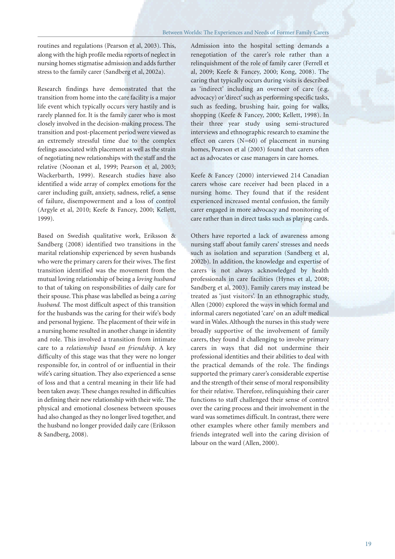routines and regulations (Pearson et al, 2003). This, along with the high profile media reports of neglect in nursing homes stigmatise admission and adds further stress to the family carer (Sandberg et al, 2002a).

Research findings have demonstrated that the transition from home into the care facility is a major life event which typically occurs very hastily and is rarely planned for. It is the family carer who is most closely involved in the decision-making process. The transition and post-placement period were viewed as an extremely stressful time due to the complex feelings associated with placement as well as the strain of negotiating new relationships with the staff and the relative (Noonan et al, 1999; Pearson et al, 2003; Wackerbarth, 1999). Research studies have also identified a wide array of complex emotions for the carer including guilt, anxiety, sadness, relief, a sense of failure, disempowerment and a loss of control (Argyle et al, 2010; Keefe & Fancey, 2000; Kellett, 1999).

Based on Swedish qualitative work, Eriksson & Sandberg (2008) identified two transitions in the marital relationship experienced by seven husbands who were the primary carers for their wives. The first transition identified was the movement from the mutual loving relationship of being a *loving husband* to that of taking on responsibilities of daily care for their spouse. This phase was labelled as being a *caring husband.* The most difficult aspect of this transition for the husbands was the caring for their wife's body and personal hygiene. The placement of their wife in a nursing home resulted in another change in identity and role. This involved a transition from intimate care to a *relationship based on friendship*. A key difficulty of this stage was that they were no longer responsible for, in control of or influential in their wife's caring situation. They also experienced a sense of loss and that a central meaning in their life had been taken away. These changes resulted in difficulties in defining their new relationship with their wife. The physical and emotional closeness between spouses had also changed as they no longer lived together, and the husband no longer provided daily care (Eriksson & Sandberg, 2008).

Admission into the hospital setting demands a renegotiation of the carer's role rather than a relinquishment of the role of family carer (Ferrell et al, 2009; Keefe & Fancey, 2000; Kong, 2008). The caring that typically occurs during visits is described as 'indirect' including an overseer of care (e.g. advocacy) or 'direct' such as performing specific tasks, such as feeding, brushing hair, going for walks, shopping (Keefe & Fancey, 2000; Kellett, 1998). In their three year study using semi-structured interviews and ethnographic research to examine the effect on carers (N=60) of placement in nursing homes, Pearson et al (2003) found that carers often act as advocates or case managers in care homes.

Keefe & Fancey (2000) interviewed 214 Canadian carers whose care receiver had been placed in a nursing home. They found that if the resident experienced increased mental confusion, the family carer engaged in more advocacy and monitoring of care rather than in direct tasks such as playing cards.

Others have reported a lack of awareness among nursing staff about family carers' stresses and needs such as isolation and separation (Sandberg et al, 2002b). In addition, the knowledge and expertise of carers is not always acknowledged by health professionals in care facilities (Hynes et al, 2008; Sandberg et al, 2003). Family carers may instead be treated as 'just visitors'. In an ethnographic study, Allen (2000) explored the ways in which formal and informal carers negotiated 'care' on an adult medical ward in Wales. Although the nurses in this study were broadly supportive of the involvement of family carers, they found it challenging to involve primary carers in ways that did not undermine their professional identities and their abilities to deal with the practical demands of the role. The findings supported the primary carer's considerable expertise and the strength of their sense of moral responsibility for their relative. Therefore, relinquishing their carer functions to staff challenged their sense of control over the caring process and their involvement in the ward was sometimes difficult. In contrast, there were other examples where other family members and friends integrated well into the caring division of labour on the ward (Allen, 2000).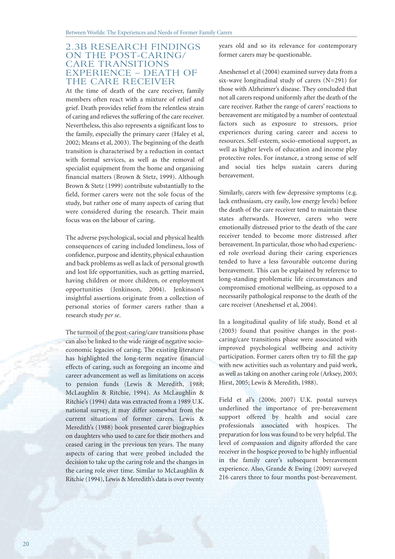#### 2.3B RESEARCH FINDINGS ON THE POST-CARING/ CARE TRANSITIONS EXPERIENCE – DEATH OF THE CARE RECEIVER

At the time of death of the care receiver, family members often react with a mixture of relief and grief. Death provides relief from the relentless strain of caring and relieves the suffering of the care receiver. Nevertheless, this also represents a significant loss to the family, especially the primary carer (Haley et al, 2002; Means et al, 2003). The beginning of the death transition is characterised by a reduction in contact with formal services, as well as the removal of specialist equipment from the home and organising financial matters (Brown & Stetz, 1999). Although Brown & Stetz (1999) contribute substantially to the field, former carers were not the sole focus of the study, but rather one of many aspects of caring that were considered during the research. Their main focus was on the labour of caring.

The adverse psychological, social and physical health consequences of caring included loneliness, loss of confidence, purpose and identity, physical exhaustion and back problems as well as lack of personal growth and lost life opportunities, such as getting married, having children or more children, or employment opportunities (Jenkinson, 2004). Jenkinson's insightful assertions originate from a collection of personal stories of former carers rather than a research study *per se*.

The turmoil of the post-caring/care transitions phase can also be linked to the wide range of negative socioeconomic legacies of caring. The existing literature has highlighted the long-term negative financial effects of caring, such as foregoing an income and career advancement as well as limitations on access to pension funds (Lewis & Meredith, 1988; McLaughlin & Ritchie, 1994). As McLaughlin & Ritchie's (1994) data was extracted from a 1989 U.K. national survey, it may differ somewhat from the current situations of former carers. Lewis & Meredith's (1988) book presented carer biographies on daughters who used to care for their mothers and ceased caring in the previous ten years. The many aspects of caring that were probed included the decision to take up the caring role and the changes in the caring role over time. Similar to McLaughlin & Ritchie (1994), Lewis & Meredith's data is over twenty

years old and so its relevance for contemporary former carers may be questionable.

Aneshensel et al (2004) examined survey data from a six-wave longitudinal study of carers (N=291) for those with Alzheimer's disease. They concluded that not all carers respond uniformly after the death of the care receiver. Rather the range of carers' reactions to bereavement are mitigated by a number of contextual factors such as exposure to stressors, prior experiences during caring career and access to resources. Self-esteem, socio-emotional support, as well as higher levels of education and income play protective roles. For instance, a strong sense of self and social ties helps sustain carers during bereavement.

Similarly, carers with few depressive symptoms (e.g. lack enthusiasm, cry easily, low energy levels) before the death of the care receiver tend to maintain these states afterwards. However, carers who were emotionally distressed prior to the death of the care receiver tended to become more distressed after bereavement. In particular, those who had experienced role overload during their caring experiences tended to have a less favourable outcome during bereavement. This can be explained by reference to long-standing problematic life circumstances and compromised emotional wellbeing, as opposed to a necessarily pathological response to the death of the care receiver (Aneshensel et al, 2004).

In a longitudinal quality of life study, Bond et al (2003) found that positive changes in the postcaring/care transitions phase were associated with improved psychological wellbeing and activity participation. Former carers often try to fill the gap with new activities such as voluntary and paid work, as well as taking on another caring role (Arksey, 2003; Hirst, 2005; Lewis & Meredith, 1988).

Field et al's (2006; 2007) U.K. postal surveys underlined the importance of pre-bereavement support offered by health and social care professionals associated with hospices. The preparation for loss was found to be very helpful. The level of compassion and dignity afforded the care receiver in the hospice proved to be highly influential in the family carer's subsequent bereavement experience. Also, Grande & Ewing (2009) surveyed 216 carers three to four months post-bereavement.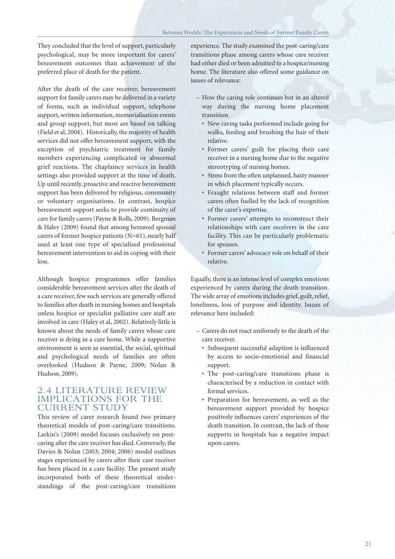They concluded that the level of support, particularly psychological, may be more important for carers' bereavement outcomes than achievement of the preferred place of death for the patient.

After the death of the care receiver, bereavement support for family carers may be delivered in a variety of forms, such as individual support, telephone support, written information, memorialisation events and group support, but most are based on talking (Field et al, 2004). Historically, the majority of health services did not offer bereavement support, with the exception of psychiatric treatment for family members experiencing complicated or abnormal grief reactions. The chaplaincy services in health settings also provided support at the time of death. Up until recently, proactive and reactive bereavement support has been delivered by religious, community or voluntary organisations. In contrast, hospice bereavement support seeks to provide continuity of care for family carers (Payne & Rolls, 2009). Bergman & Haley (2009) found that among bereaved spousal carers of former hospice patients (N=61), nearly half used at least one type of specialised professional bereavement intervention to aid in coping with their loss.

Although hospice programmes offer families considerable bereavement services after the death of a care receiver, few such services are generally offered to families after death in nursing homes and hospitals unless hospice or specialist palliative care staff are involved in care (Haley et al, 2002). Relatively little is known about the needs of family carers whose care receiver is dying in a care home. While a supportive environment is seen as essential, the social, spiritual and psychological needs of families are often overlooked (Hudson & Payne, 2009; Nolan & Hudson, 2009).

#### 2.4 LITERATURE REVIEW IMPLICATIONS FOR THE CURRENT STUDY

This review of carer research found two primary theoretical models of post-caring/care transitions. Larkin's (2009) model focuses exclusively on postcaring after the care receiver has died. Conversely, the Davies & Nolan (2003; 2004; 2006) model outlines stages experienced by carers after their care receiver has been placed in a care facility. The present study incorporated both of these theoretical understandings of the post-caring/care transitions

experience. The study examined the post-caring/care transitions phase among carers whose care receiver had either died or been admitted to a hospice/nursing home. The literature also offered some guidance on issues of relevance:

- How the caring role continues but in an altered way during the nursing home placement transition.
	- New caring tasks performed include going for walks, feeding and brushing the hair of their relative.
	- Former carers' guilt for placing their care receiver in a nursing home due to the negative stereotyping of nursing homes.
	- Stress from the often unplanned, hasty manner in which placement typically occurs.
	- Fraught relations between staff and former carers often fuelled by the lack of recognition of the carer's expertise.
	- Former carers' attempts to reconstruct their relationships with care receivers in the care facility. This can be particularly problematic for spouses.
	- Former carers' advocacy role on behalf of their relative.

Equally, there is an intense level of complex emotions experienced by carers during the death transition. The wide array of emotions includes grief, guilt, relief, loneliness, loss of purpose and identity. Issues of relevance here included:

- Carers do not react uniformly to the death of the care receiver.
	- Subsequent successful adaption is influenced by access to socio-emotional and financial support.
	- The post-caring/care transitions phase is characterised by a reduction in contact with formal services.
	- Preparation for bereavement, as well as the bereavement support provided by hospice positively influences carers' experiences of the death transition. In contrast, the lack of these supports in hospitals has a negative impact upon carers.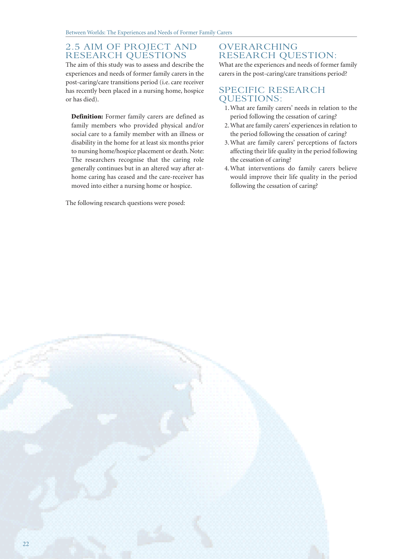#### 2.5 AIM OF PROJECT AND RESEARCH QUESTIONS

The aim of this study was to assess and describe the experiences and needs of former family carers in the post-caring/care transitions period (i.e. care receiver has recently been placed in a nursing home, hospice or has died).

**Definition:** Former family carers are defined as family members who provided physical and/or social care to a family member with an illness or disability in the home for at least six months prior to nursing home/hospice placement or death. Note: The researchers recognise that the caring role generally continues but in an altered way after athome caring has ceased and the care-receiver has moved into either a nursing home or hospice.

The following research questions were posed:

#### OVERARCHING RESEARCH QUESTION:

What are the experiences and needs of former family carers in the post-caring/care transitions period?

#### SPECIFIC RESEARCH QUESTIONS:

- 1. What are family carers' needs in relation to the period following the cessation of caring?
- 2. What are family carers' experiences in relation to the period following the cessation of caring?
- 3. What are family carers' perceptions of factors affecting their life quality in the period following the cessation of caring?
- 4. What interventions do family carers believe would improve their life quality in the period following the cessation of caring?

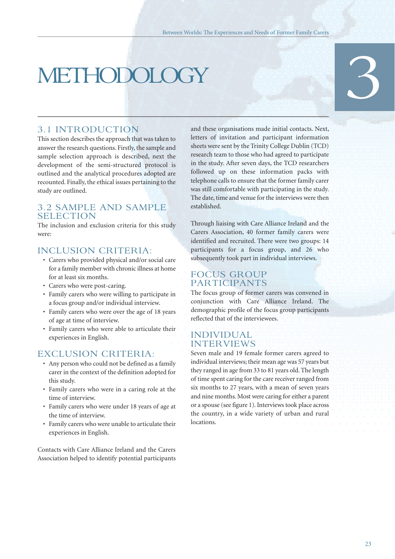# METHODOLOGY 3

#### 3.1 INTRODUCTION

This section describes the approach that was taken to answer the research questions. Firstly, the sample and sample selection approach is described, next the development of the semi-structured protocol is outlined and the analytical procedures adopted are recounted. Finally, the ethical issues pertaining to the study are outlined.

#### 3.2 SAMPLE AND SAMPLE SELECTION

The inclusion and exclusion criteria for this study  $W^{\rho}$ 

#### INCLUSION CRITERIA:

- Carers who provided physical and/or social care for a family member with chronic illness at home for at least six months.
- Carers who were post-caring.
- Family carers who were willing to participate in a focus group and/or individual interview.
- Family carers who were over the age of 18 years of age at time of interview.
- Family carers who were able to articulate their experiences in English.

#### EXCLUSION CRITERIA:

- Any person who could not be defined as a family carer in the context of the definition adopted for this study.
- Family carers who were in a caring role at the time of interview.
- Family carers who were under 18 years of age at the time of interview.
- Family carers who were unable to articulate their experiences in English.

Contacts with Care Alliance Ireland and the Carers Association helped to identify potential participants

and these organisations made initial contacts. Next, letters of invitation and participant information sheets were sent by the Trinity College Dublin (TCD) research team to those who had agreed to participate in the study. After seven days, the TCD researchers followed up on these information packs with telephone calls to ensure that the former family carer was still comfortable with participating in the study. The date, time and venue for the interviews were then established.

Through liaising with Care Alliance Ireland and the Carers Association, 40 former family carers were identified and recruited. There were two groups: 14 participants for a focus group, and 26 who subsequently took part in individual interviews.

#### FOCUS GROUP PARTICIPANTS

The focus group of former carers was convened in conjunction with Care Alliance Ireland. The demographic profile of the focus group participants reflected that of the interviewees.

#### INDIVIDUAL INTERVIEWS

Seven male and 19 female former carers agreed to individual interviews; their mean age was 57 years but they ranged in age from 33 to 81 years old. The length of time spent caring for the care receiver ranged from six months to 27 years, with a mean of seven years and nine months. Most were caring for either a parent or a spouse (see figure 1). Interviews took place across the country, in a wide variety of urban and rural **locations**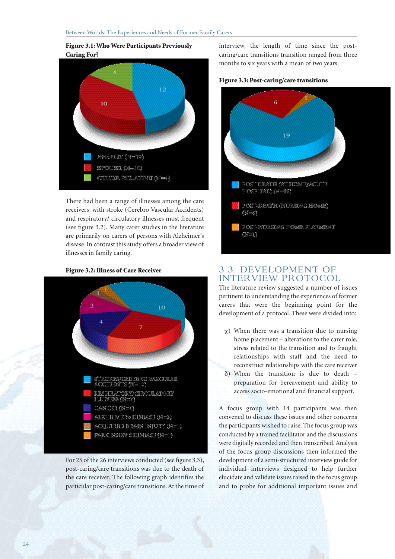#### **Figure 3.1: Who Were Participants Previously Caring For?**



There had been a range of illnesses among the care receivers, with stroke (Cerebro Vascular Accidents) and respiratory/ circulatory illnesses most frequent (see figure 3.2). Many carer studies in the literature are primarily on carers of persons with Alzheimer's disease. In contrast this study offers a broader view of illnesses in family caring.

#### **Figure 3.2: Illness of Care Receiver**



For 25 of the 26 interviews conducted (see figure 3.3), post-caring/care transitions was due to the death of the care receiver. The following graph identifies the particular post-caring/care transitions. At the time of

interview, the length of time since the postcaring/care transitions transition ranged from three months to six years with a mean of two years.





#### 3.3. DEVELOPMENT OF INTERVIEW PROTOCOL

The literature review suggested a number of issues pertinent to understanding the experiences of former carers that were the beginning point for the development of a protocol. These were divided into:

- χ) When there was a transition due to nursing home placement – alterations to the carer role, stress related to the transition and to fraught relationships with staff and the need to reconstruct relationships with the care receiver
- δ) When the transition is due to death preparation for bereavement and ability to access socio-emotional and financial support.

A focus group with 14 participants was then convened to discuss these issues and other concerns the participants wished to raise. The focus group was conducted by a trained facilitator and the discussions were digitally recorded and then transcribed. Analysis of the focus group discussions then informed the development of a semi-structured interview guide for individual interviews designed to help further elucidate and validate issues raised in the focus group and to probe for additional important issues and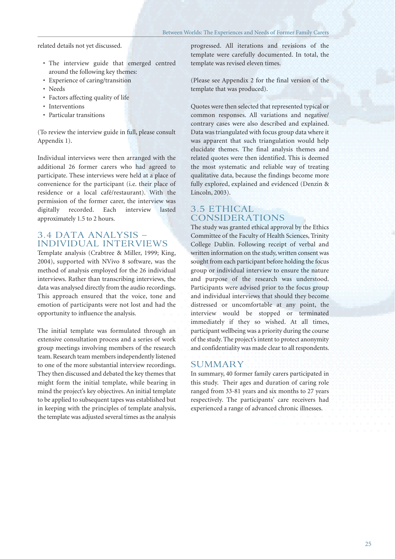related details not yet discussed.

- The interview guide that emerged centred around the following key themes:
- Experience of caring/transition
- Needs
- Factors affecting quality of life
- Interventions
- Particular transitions

(To review the interview guide in full, please consult Appendix 1).

Individual interviews were then arranged with the additional 26 former carers who had agreed to participate. These interviews were held at a place of convenience for the participant (i.e. their place of residence or a local café/restaurant). With the permission of the former carer, the interview was digitally recorded. Each interview lasted approximately 1.5 to 2 hours.

#### 3.4 DATA ANALYSIS – INDIVIDUAL INTERVIEWS

Template analysis (Crabtree & Miller, 1999; King, 2004), supported with NVivo 8 software, was the method of analysis employed for the 26 individual interviews. Rather than transcribing interviews, the data was analysed directly from the audio recordings. This approach ensured that the voice, tone and emotion of participants were not lost and had the opportunity to influence the analysis.

The initial template was formulated through an extensive consultation process and a series of work group meetings involving members of the research team. Research team members independently listened to one of the more substantial interview recordings. They then discussed and debated the key themes that might form the initial template, while bearing in mind the project's key objectives. An initial template to be applied to subsequent tapes was established but in keeping with the principles of template analysis, the template was adjusted several times as the analysis

progressed. All iterations and revisions of the template were carefully documented. In total, the template was revised eleven times.

(Please see Appendix 2 for the final version of the template that was produced).

Quotes were then selected that represented typical or common responses. All variations and negative/ contrary cases were also described and explained. Data was triangulated with focus group data where it was apparent that such triangulation would help elucidate themes. The final analysis themes and related quotes were then identified. This is deemed the most systematic and reliable way of treating qualitative data, because the findings become more fully explored, explained and evidenced (Denzin & Lincoln, 2003).

#### 3.5 ETHICAL CONSIDERATIONS

The study was granted ethical approval by the Ethics Committee of the Faculty of Health Sciences, Trinity College Dublin. Following receipt of verbal and written information on the study, written consent was sought from each participant before holding the focus group or individual interview to ensure the nature and purpose of the research was understood. Participants were advised prior to the focus group and individual interviews that should they become distressed or uncomfortable at any point, the interview would be stopped or terminated immediately if they so wished. At all times, participant wellbeing was a priority during the course of the study. The project's intent to protect anonymity and confidentiality was made clear to all respondents.

#### SUMMARY

In summary, 40 former family carers participated in this study. Their ages and duration of caring role ranged from 33-81 years and six months to 27 years respectively. The participants' care receivers had experienced a range of advanced chronic illnesses.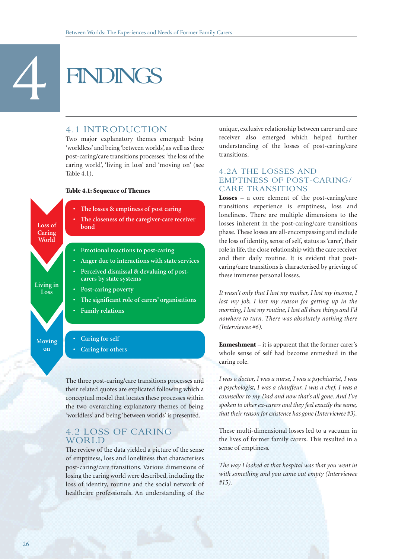# **FINDINGS**

#### 4.1 INTRODUCTION

Two major explanatory themes emerged: being 'worldless' and being 'between worlds', as well as three post-caring/care transitions processes: 'the loss of the caring world', 'living in loss' and 'moving on' (see Table 4.1).

#### **Table 4.1: Sequence of Themes**



**• Caring for others**

The three post-caring/care transitions processes and their related quotes are explicated following which a conceptual model that locates these processes within the two overarching explanatory themes of being 'worldless' and being 'between worlds' is presented.

#### 4.2 LOSS OF CARING WORLD

The review of the data yielded a picture of the sense of emptiness, loss and loneliness that characterises post-caring/care transitions. Various dimensions of losing the caring world were described, including the loss of identity, routine and the social network of healthcare professionals. An understanding of the unique, exclusive relationship between carer and care receiver also emerged which helped further understanding of the losses of post-caring/care transitions.

#### 4.2A THE LOSSES AND EMPTINESS OF POST-CARING/ CARE TRANSITIONS

**Losses** – a core element of the post-caring/care transitions experience is emptiness, loss and loneliness. There are multiple dimensions to the losses inherent in the post-caring/care transitions phase. These losses are all-encompassing and include the loss of identity, sense of self, status as 'carer', their role in life, the close relationship with the care receiver and their daily routine. It is evident that postcaring/care transitions is characterised by grieving of these immense personal losses.

*It wasn't only that I lost my mother, I lost my income, I lost my job, I lost my reason for getting up in the morning, I lost my routine, I lost all these things and I'd nowhere to turn. There was absolutely nothing there (Interviewee #6).*

**Enmeshment** – it is apparent that the former carer's whole sense of self had become enmeshed in the caring role.

*I was a doctor, I was a nurse, I was a psychiatrist, I was a psychologist, I was a chauffeur, I was a chef, I was a counsellor to my Dad and now that's all gone. And I've spoken to other ex-carers and they feel exactly the same, that their reason for existence has gone (Interviewee #3).*

These multi-dimensional losses led to a vacuum in the lives of former family carers. This resulted in a sense of emptiness.

*The way I looked at that hospital was that you went in with something and you came out empty (Interviewee #15).*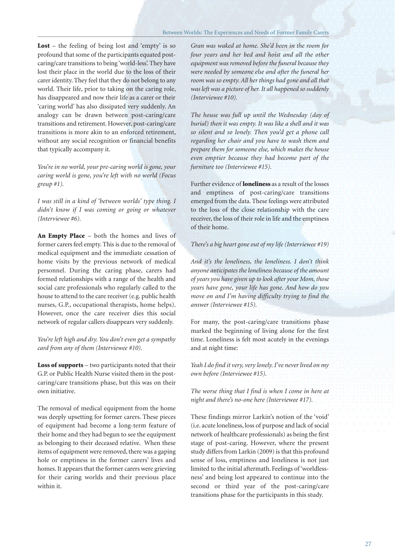**Lost** – the feeling of being lost and 'empty' is so profound that some of the participants equated postcaring/care transitions to being 'world-less'. They have lost their place in the world due to the loss of their carer identity. They feel that they do not belong to any world. Their life, prior to taking on the caring role, has disappeared and now their life as a carer or their 'caring world' has also dissipated very suddenly. An analogy can be drawn between post-caring/care transitions and retirement. However, post-caring/care transitions is more akin to an enforced retirement, without any social recognition or financial benefits that typically accompany it.

*You're in no world, your pre-caring world is gone, your caring world is gone, you're left with no world (Focus group #1).*

*I was still in a kind of 'between worlds' type thing. I didn't know if I was coming or going or whatever (Interviewee #6).*

**An Empty Place** – both the homes and lives of former carers feel empty. This is due to the removal of medical equipment and the immediate cessation of home visits by the previous network of medical personnel. During the caring phase, carers had formed relationships with a range of the health and social care professionals who regularly called to the house to attend to the care receiver (e.g. public health nurses, G.P., occupational therapists, home helps). However, once the care receiver dies this social network of regular callers disappears very suddenly.

*You're left high and dry. You don't even get a sympathy card from any of them (Interviewee #10).*

**Loss of supports** – two participants noted that their G.P. or Public Health Nurse visited them in the postcaring/care transitions phase, but this was on their own initiative.

The removal of medical equipment from the home was deeply upsetting for former carers. These pieces of equipment had become a long-term feature of their home and they had begun to see the equipment as belonging to their deceased relative. When these items of equipment were removed, there was a gaping hole or emptiness in the former carers' lives and homes. It appears that the former carers were grieving for their caring worlds and their previous place within it.

*Gran was waked at home. She'd been in the room for four years and her bed and hoist and all the other equipment was removed before the funeral because they were needed by someone else and after the funeral her room was so empty. All her things had gone and all that was left was a picture of her. It all happened so suddenly (Interviewee #10).*

*The house was full up until the Wednesday (day of burial) then it was empty. It was like a shell and it was so silent and so lonely. Then you'd get a phone call regarding her chair and you have to wash them and prepare them for someone else, which makes the house even emptier because they had become part of the furniture too (Interviewee #15).*

Further evidence of **loneliness** as a result of the losses and emptiness of post-caring/care transitions emerged from the data. These feelings were attributed to the loss of the close relationship with the care receiver, the loss of their role in life and the emptiness of their home.

#### *There's a big heart gone out of my life (Interviewee #19)*

*And it's the loneliness, the loneliness. I don't think anyone anticipates the loneliness because of the amount of years you have given up to look after your Mom, those years have gone, your life has gone. And how do you move on and I'm having difficulty trying to find the answer (Interviewee #15).*

For many, the post-caring/care transitions phase marked the beginning of living alone for the first time. Loneliness is felt most acutely in the evenings and at night time:

*Yeah I do find it very, very lonely. I've never lived on my own before (Interviewee #15).* 

*The worse thing that I find is when I come in here at night and there's no-one here (Interviewee #17).*

These findings mirror Larkin's notion of the 'void' (i.e. acute loneliness, loss of purpose and lack of social network of healthcare professionals) as being the first stage of post-caring. However, where the present study differs from Larkin (2009) is that this profound sense of loss, emptiness and loneliness is not just limited to the initial aftermath. Feelings of 'worldlessness' and being lost appeared to continue into the second or third year of the post-caring/care transitions phase for the participants in this study.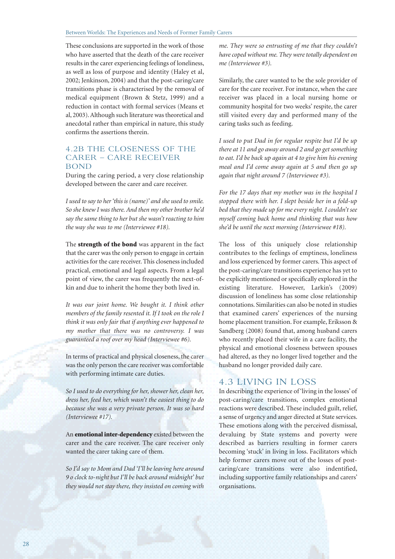These conclusions are supported in the work of those who have asserted that the death of the care receiver results in the carer experiencing feelings of loneliness, as well as loss of purpose and identity (Haley et al, 2002; Jenkinson, 2004) and that the post-caring/care transitions phase is characterised by the removal of medical equipment (Brown & Stetz, 1999) and a reduction in contact with formal services (Means et al, 2003). Although such literature was theoretical and anecdotal rather than empirical in nature, this study confirms the assertions therein.

#### 4.2B THE CLOSENESS OF THE CARER – CARE RECEIVER BOND

During the caring period, a very close relationship developed between the carer and care receiver.

*I used to say to her 'this is (name)' and she used to smile. So she knew I was there. And then my other brother he'd say the same thing to her but she wasn't reacting to him the way she was to me (Interviewee #18).*

The **strength of the bond** was apparent in the fact that the carer was the only person to engage in certain activities for the care receiver. This closeness included practical, emotional and legal aspects. From a legal point of view, the carer was frequently the next-ofkin and due to inherit the home they both lived in.

*It was our joint home. We bought it. I think other members of the family resented it. If I took on the role I think it was only fair that if anything ever happened to my mother that there was no controversy. I was guaranteed a roof over my head (Interviewee #6).*

In terms of practical and physical closeness, the carer was the only person the care receiver was comfortable with performing intimate care duties.

*So I used to do everything for her, shower her, clean her, dress her, feed her, which wasn't the easiest thing to do because she was a very private person. It was so hard (Interviewee #17).*

An **emotional inter-dependency** existed between the carer and the care receiver. The care receiver only wanted the carer taking care of them.

*So I'd say to Mom and Dad 'I'll be leaving here around 9 o clock to-night but I'll be back around midnight' but they would not stay there, they insisted on coming with* *me. They were so entrusting of me that they couldn't have coped without me. They were totally dependent on me (Interviewee #3).*

Similarly, the carer wanted to be the sole provider of care for the care receiver. For instance, when the care receiver was placed in a local nursing home or community hospital for two weeks' respite, the carer still visited every day and performed many of the caring tasks such as feeding.

*I used to put Dad in for regular respite but I'd be up there at 11 and go away around 2 and go get something to eat. I'd be back up again at 4 to give him his evening meal and I'd come away again at 5 and then go up again that night around 7 (Interviewee #3).*

*For the 17 days that my mother was in the hospital I stopped there with her. I slept beside her in a fold-up bed that they made up for me every night. I couldn't see myself coming back home and thinking that was how she'd be until the next morning (Interviewee #18).*

The loss of this uniquely close relationship contributes to the feelings of emptiness, loneliness and loss experienced by former carers. This aspect of the post-caring/care transitions experience has yet to be explicitly mentioned or specifically explored in the existing literature. However, Larkin's (2009) discussion of loneliness has some close relationship connotations. Similarities can also be noted in studies that examined carers' experiences of the nursing home placement transition. For example, Eriksson & Sandberg (2008) found that, among husband carers who recently placed their wife in a care facility, the physical and emotional closeness between spouses had altered, as they no longer lived together and the husband no longer provided daily care.

#### 4.3 LIVING IN LOSS

In describing the experience of 'living in the losses' of post-caring/care transitions, complex emotional reactions were described. These included guilt, relief, a sense of urgency and anger directed at State services. These emotions along with the perceived dismissal, devaluing by State systems and poverty were described as barriers resulting in former carers becoming 'stuck' in living in loss. Facilitators which help former carers move out of the losses of postcaring/care transitions were also indentified, including supportive family relationships and carers' organisations.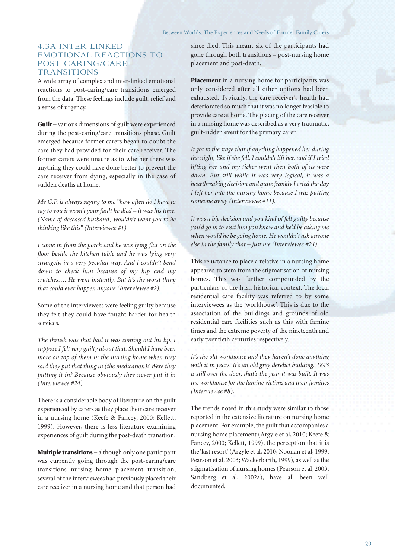#### 4.3A INTER-LINKED EMOTIONAL REACTIONS TO POST-CARING/CARE **TRANSITIONS**

A wide array of complex and inter-linked emotional reactions to post-caring/care transitions emerged from the data. These feelings include guilt, relief and a sense of urgency.

**Guilt** – various dimensions of guilt were experienced during the post-caring/care transitions phase. Guilt emerged because former carers began to doubt the care they had provided for their care receiver. The former carers were unsure as to whether there was anything they could have done better to prevent the care receiver from dying, especially in the case of sudden deaths at home.

*My G.P. is always saying to me "how often do I have to say to you it wasn't your fault he died – it was his time. (Name of deceased husband) wouldn't want you to be thinking like this" (Interviewee #1).*

*I came in from the porch and he was lying flat on the floor beside the kitchen table and he was lying very strangely, in a very peculiar way. And I couldn't bend down to check him because of my hip and my crutches…..He went instantly. But it's the worst thing that could ever happen anyone (Interviewee #2).*

Some of the interviewees were feeling guilty because they felt they could have fought harder for health services.

*The thrush was that bad it was coming out his lip. I suppose I felt very guilty about that. Should I have been more on top of them in the nursing home when they said they put that thing in (the medication)? Were they putting it in? Because obviously they never put it in (Interviewee #24).*

There is a considerable body of literature on the guilt experienced by carers as they place their care receiver in a nursing home (Keefe & Fancey, 2000; Kellett, 1999). However, there is less literature examining experiences of guilt during the post-death transition.

**Multiple transitions** – although only one participant was currently going through the post-caring/care transitions nursing home placement transition, several of the interviewees had previously placed their care receiver in a nursing home and that person had

since died. This meant six of the participants had gone through both transitions – post-nursing home placement and post-death.

**Placement** in a nursing home for participants was only considered after all other options had been exhausted. Typically, the care receiver's health had deteriorated so much that it was no longer feasible to provide care at home. The placing of the care receiver in a nursing home was described as a very traumatic, guilt-ridden event for the primary carer.

*It got to the stage that if anything happened her during the night, like if she fell, I couldn't lift her, and if I tried lifting her and my ticker went then both of us were down. But still while it was very logical, it was a heartbreaking decision and quite frankly I cried the day I left her into the nursing home because I was putting someone away (Interviewee #11).*

*It was a big decision and you kind of felt guilty because you'd go in to visit him you know and he'd be asking me when would he be going home. He wouldn't ask anyone else in the family that – just me (Interviewee #24).*

This reluctance to place a relative in a nursing home appeared to stem from the stigmatisation of nursing homes. This was further compounded by the particulars of the Irish historical context. The local residential care facility was referred to by some interviewees as the 'workhouse'. This is due to the association of the buildings and grounds of old residential care facilities such as this with famine times and the extreme poverty of the nineteenth and early twentieth centuries respectively.

*It's the old workhouse and they haven't done anything with it in years. It's an old grey derelict building. 1843 is still over the door, that's the year it was built. It was the workhouse for the famine victims and their families (Interviewee #8).*

The trends noted in this study were similar to those reported in the extensive literature on nursing home placement. For example, the guilt that accompanies a nursing home placement (Argyle et al, 2010; Keefe & Fancey, 2000; Kellett, 1999), the perception that it is the 'last resort' (Argyle et al, 2010; Noonan et al, 1999; Pearson et al, 2003; Wackerbarth, 1999), as well as the stigmatisation of nursing homes (Pearson et al, 2003; Sandberg et al, 2002a), have all been well documented.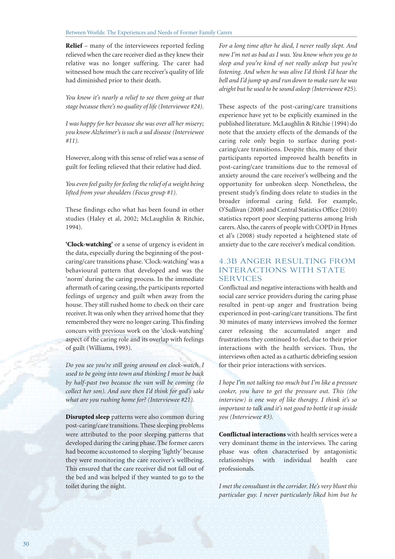**Relief** – many of the interviewees reported feeling relieved when the care receiver died as they knew their relative was no longer suffering. The carer had witnessed how much the care receiver's quality of life had diminished prior to their death.

*You know it's nearly a relief to see them going at that stage because there's no quality of life (Interviewee #24).*

*I was happy for her because she was over all her misery; you know Alzheimer's is such a sad disease (Interviewee #11).*

However, along with this sense of relief was a sense of guilt for feeling relieved that their relative had died.

*You even feel guilty for feeling the relief of a weight being lifted from your shoulders (Focus group #1).*

These findings echo what has been found in other studies (Haley et al, 2002; McLaughlin & Ritchie, 1994).

**'Clock-watching'** or a sense of urgency is evident in the data, especially during the beginning of the postcaring/care transitions phase. 'Clock-watching' was a behavioural pattern that developed and was the 'norm' during the caring process. In the immediate aftermath of caring ceasing, the participants reported feelings of urgency and guilt when away from the house. They still rushed home to check on their care receiver. It was only when they arrived home that they remembered they were no longer caring. This finding concurs with previous work on the 'clock-watching' aspect of the caring role and its overlap with feelings of guilt (Williams, 1993).

*Do you see you're still going around on clock-watch. I used to be going into town and thinking I must be back by half-past two because the van will be coming (to collect her son). And sure then I'd think for god's sake what are you rushing home for? (Interviewee #21).*

**Disrupted sleep** patterns were also common during post-caring/care transitions. These sleeping problems were attributed to the poor sleeping patterns that developed during the caring phase. The former carers had become accustomed to sleeping 'lightly' because they were monitoring the care receiver's wellbeing. This ensured that the care receiver did not fall out of the bed and was helped if they wanted to go to the toilet during the night.

*For a long time after he died, I never really slept. And now I'm not as bad as I was. You know when you go to sleep and you're kind of not really asleep but you're listening. And when he was alive I'd think I'd hear the bell and I'd jump up and run down to make sure he was alright but he used to be sound asleep (Interviewee #25).*

These aspects of the post-caring/care transitions experience have yet to be explicitly examined in the published literature. McLaughlin & Ritchie (1994) do note that the anxiety effects of the demands of the caring role only begin to surface during postcaring/care transitions. Despite this, many of their participants reported improved health benefits in post-caring/care transitions due to the removal of anxiety around the care receiver's wellbeing and the opportunity for unbroken sleep. Nonetheless, the present study's finding does relate to studies in the broader informal caring field. For example, O'Sullivan (2008) and Central Statistics Office (2010) statistics report poor sleeping patterns among Irish carers. Also, the carers of people with COPD in Hynes et al's (2008) study reported a heightened state of anxiety due to the care receiver's medical condition.

#### 4.3B ANGER RESULTING FROM INTERACTIONS WITH STATE SERVICES

Conflictual and negative interactions with health and social care service providers during the caring phase resulted in pent-up anger and frustration being experienced in post-caring/care transitions. The first 30 minutes of many interviews involved the former carer releasing the accumulated anger and frustrations they continued to feel, due to their prior interactions with the health services. Thus, the interviews often acted as a cathartic debriefing session for their prior interactions with services.

*I hope I'm not talking too much but I'm like a pressure cooker, you have to get the pressure out. This (the interview) is one way of like therapy. I think it's so important to talk and it's not good to bottle it up inside you (Interviewee #3).*

**Conflictual interactions** with health services were a very dominant theme in the interviews. The caring phase was often characterised by antagonistic relationships with individual health care professionals.

*I met the consultant in the corridor. He's very blunt this particular guy. I never particularly liked him but he*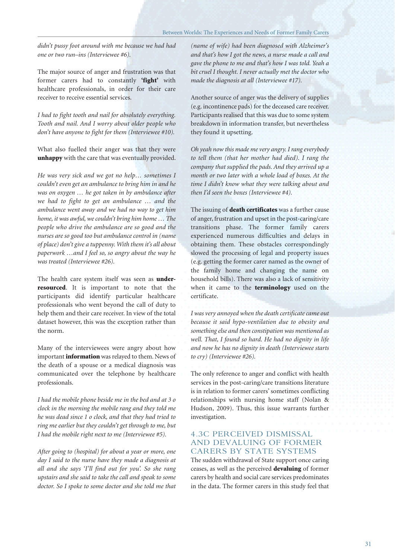*didn't pussy foot around with me because we had had one or two run–ins (Interviewee #6).*

The major source of anger and frustration was that former carers had to constantly **'fight'** with healthcare professionals, in order for their care receiver to receive essential services.

*I had to fight tooth and nail for absolutely everything. Tooth and nail. And I worry about older people who don't have anyone to fight for them (Interviewee #10).*

What also fuelled their anger was that they were **unhappy** with the care that was eventually provided.

*He was very sick and we got no help… sometimes I couldn't even get an ambulance to bring him in and he was on oxygen … he got taken in by ambulance after we had to fight to get an ambulance … and the ambulance went away and we had no way to get him home, it was awful, we couldn't bring him home … The people who drive the ambulance are so good and the nurses are so good too but ambulance control in (name of place) don't give a tuppenny. With them it's all about paperwork …and I feel so, so angry about the way he was treated (Interviewee #26).*

The health care system itself was seen as **underresourced**. It is important to note that the participants did identify particular healthcare professionals who went beyond the call of duty to help them and their care receiver. In view of the total dataset however, this was the exception rather than the norm.

Many of the interviewees were angry about how important **information** was relayed to them. News of the death of a spouse or a medical diagnosis was communicated over the telephone by healthcare professionals.

*I had the mobile phone beside me in the bed and at 3 o clock in the morning the mobile rang and they told me he was dead since 1 o clock, and that they had tried to ring me earlier but they couldn't get through to me, but I had the mobile right next to me (Interviewee #5).*

*After going to (hospital) for about a year or more, one day I said to the nurse have they made a diagnosis at all and she says 'I'll find out for you'. So she rang upstairs and she said to take the call and speak to some doctor. So I spoke to some doctor and she told me that*

*(name of wife) had been diagnosed with Alzheimer's and that's how I got the news, a nurse made a call and gave the phone to me and that's how I was told. Yeah a bit cruel I thought. I never actually met the doctor who made the diagnosis at all (Interviewee #17).*

Another source of anger was the delivery of supplies (e.g. incontinence pads) for the deceased care receiver. Participants realised that this was due to some system breakdown in information transfer, but nevertheless they found it upsetting.

*Oh yeah now this made me very angry. I rang everybody to tell them (that her mother had died). I rang the company that supplied the pads. And they arrived up a month or two later with a whole load of boxes. At the time I didn't know what they were talking about and then I'd seen the boxes (Interviewee #4).*

The issuing of **death certificates** was a further cause of anger, frustration and upset in the post-caring/care transitions phase. The former family carers experienced numerous difficulties and delays in obtaining them. These obstacles correspondingly slowed the processing of legal and property issues (e.g. getting the former carer named as the owner of the family home and changing the name on household bills). There was also a lack of sensitivity when it came to the **terminology** used on the certificate.

*I was very annoyed when the death certificate came out because it said hypo-ventilation due to obesity and something else and then constipation was mentioned as well. That, I found so hard. He had no dignity in life and now he has no dignity in death (Interviewee starts to cry) (Interviewee #26).*

The only reference to anger and conflict with health services in the post-caring/care transitions literature is in relation to former carers' sometimes conflicting relationships with nursing home staff (Nolan & Hudson, 2009). Thus, this issue warrants further investigation.

#### 4.3C PERCEIVED DISMISSAL AND DEVALUING OF FORMER CARERS BY STATE SYSTEMS

The sudden withdrawal of State support once caring ceases, as well as the perceived **devaluing** of former carers by health and social care services predominates in the data. The former carers in this study feel that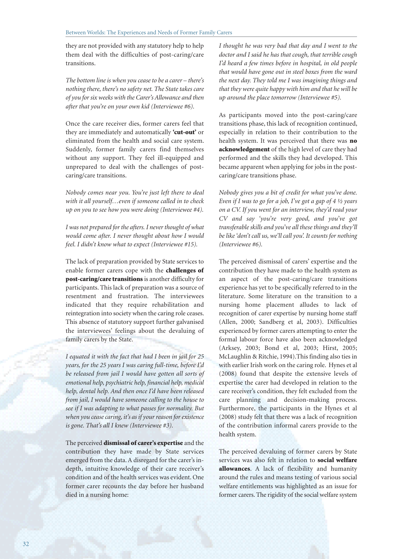they are not provided with any statutory help to help them deal with the difficulties of post-caring/care transitions.

*The bottom line is when you cease to be a carer – there's nothing there, there's no safety net. The State takes care of you for six weeks with the Carer's Allowance and then after that you're on your own kid (Interviewee #6).*

Once the care receiver dies, former carers feel that they are immediately and automatically **'cut-out'** or eliminated from the health and social care system. Suddenly, former family carers find themselves without any support. They feel ill-equipped and unprepared to deal with the challenges of postcaring/care transitions.

*Nobody comes near you. You're just left there to deal with it all yourself…even if someone called in to check up on you to see how you were doing (Interviewee #4).*

*I was not prepared for the afters. I never thought of what would come after. I never thought about how I would feel. I didn't know what to expect (Interviewee #15).*

The lack of preparation provided by State services to enable former carers cope with the **challenges of post-caring/care transitions**is another difficulty for participants. This lack of preparation was a source of resentment and frustration. The interviewees indicated that they require rehabilitation and reintegration into society when the caring role ceases. This absence of statutory support further galvanised the interviewees' feelings about the devaluing of family carers by the State.

*I equated it with the fact that had I been in jail for 25 years, for the 25 years I was caring full-time, before I'd be released from jail I would have gotten all sorts of emotional help, psychiatric help, financial help, medical help, dental help. And then once I'd have been released from jail, I would have someone calling to the house to see if I was adapting to what passes for normality. But when you cease caring, it's as if your reason for existence is gone. That's all I knew (Interviewee #3).*

The perceived **dismissal of carer's expertise** and the contribution they have made by State services emerged from the data. A disregard for the carer's indepth, intuitive knowledge of their care receiver's condition and of the health services was evident. One former carer recounts the day before her husband died in a nursing home:

*I thought he was very bad that day and I went to the doctor and I said he has that cough, that terrible cough I'd heard a few times before in hospital, in old people that would have gone out in steel boxes from the ward the next day. They told me I was imagining things and that they were quite happy with him and that he will be up around the place tomorrow (Interviewee #5).*

As participants moved into the post-caring/care transitions phase, this lack of recognition continued, especially in relation to their contribution to the health system. It was perceived that there was **no acknowledgement** of the high level of care they had performed and the skills they had developed. This became apparent when applying for jobs in the postcaring/care transitions phase.

*Nobody gives you a bit of credit for what you've done. Even if I was to go for a job, I've got a gap of 4 ½ years on a CV. If you went for an interview, they'd read your CV and say 'you're very good, and you've got transferable skills and you've all these things and they'll be like 'don't call us, we'll call you'. It counts for nothing (Interviewee #6).*

The perceived dismissal of carers' expertise and the contribution they have made to the health system as an aspect of the post-caring/care transitions experience has yet to be specifically referred to in the literature. Some literature on the transition to a nursing home placement alludes to lack of recognition of carer expertise by nursing home staff (Allen, 2000; Sandberg et al, 2003). Difficulties experienced by former carers attempting to enter the formal labour force have also been acknowledged (Arksey, 2003; Bond et al, 2003; Hirst, 2005; McLaughlin & Ritchie, 1994).This finding also ties in with earlier Irish work on the caring role. Hynes et al (2008) found that despite the extensive levels of expertise the carer had developed in relation to the care receiver's condition, they felt excluded from the care planning and decision-making process. Furthermore, the participants in the Hynes et al (2008) study felt that there was a lack of recognition of the contribution informal carers provide to the health system.

The perceived devaluing of former carers by State services was also felt in relation to **social welfare allowances**. A lack of flexibility and humanity around the rules and means testing of various social welfare entitlements was highlighted as an issue for former carers. The rigidity of the social welfare system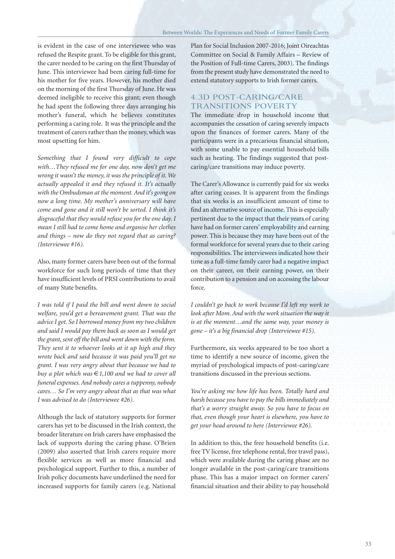is evident in the case of one interviewee who was refused the Respite grant. To be eligible for this grant, the carer needed to be caring on the first Thursday of June. This interviewee had been caring full-time for his mother for five years. However, his mother died on the morning of the first Thursday of June. He was deemed ineligible to receive this grant; even though he had spent the following three days arranging his mother's funeral, which he believes constitutes performing a caring role. It was the principle and the treatment of carers rather than the money, which was most upsetting for him.

*Something that I found very difficult to cope with…They refused me for one day, now don't get me wrong it wasn't the money, it was the principle of it. We actually appealed it and they refused it. It's actually with the Ombudsman at the moment. And it's going on now a long time. My mother's anniversary will have come and gone and it still won't be sorted. I think it's disgraceful that they would refuse you for the one day. I mean I still had to come home and organise her clothes and things – now do they not regard that as caring? (Interviewee #16).*

Also, many former carers have been out of the formal workforce for such long periods of time that they have insufficient levels of PRSI contributions to avail of many State benefits.

*I was told if I paid the bill and went down to social welfare, you'd get a bereavement grant. That was the advice I got. So I borrowed money from my two children and said I would pay them back as soon as I would get the grant, sent off the bill and went down with the form. They sent it to whoever looks at it up high and they wrote back and said because it was paid you'll get no grant. I was very angry about that because we had to buy a plot which was* €*1,100 and we had to cover all funeral expenses. And nobody cares a tuppenny, nobody cares… So I'm very angry about that as that was what I was advised to do (Interviewee #26).*

Although the lack of statutory supports for former carers has yet to be discussed in the Irish context, the broader literature on Irish carers have emphasised the lack of supports during the caring phase. O'Brien (2009) also asserted that Irish carers require more flexible services as well as more financial and psychological support. Further to this, a number of Irish policy documents have underlined the need for increased supports for family carers (e.g. National Plan for Social Inclusion 2007-2016; Joint Oireachtas Committee on Social & Family Affairs – Review of the Position of Full-time Carers, 2003). The findings from the present study have demonstrated the need to extend statutory supports to Irish former carers.

#### 4.3D POST-CARING/CARE TRANSITIONS POVERTY

The immediate drop in household income that accompanies the cessation of caring severely impacts upon the finances of former carers. Many of the participants were in a precarious financial situation, with some unable to pay essential household bills such as heating. The findings suggested that postcaring/care transitions may induce poverty.

The Carer's Allowance is currently paid for six weeks after caring ceases. It is apparent from the findings that six weeks is an insufficient amount of time to find an alternative source of income. This is especially pertinent due to the impact that their years of caring have had on former carers' employability and earning power. This is because they may have been out of the formal workforce for several years due to their caring responsibilities. The interviewees indicated how their time as a full-time family carer had a negative impact on their career, on their earning power, on their contribution to a pension and on accessing the labour force.

*I couldn't go back to work because I'd left my work to look after Mom. And with the work situation the way it is at the moment…and the same way, your money is gone – it's a big financial drop (Interviewee #15).*

Furthermore, six weeks appeared to be too short a time to identify a new source of income, given the myriad of psychological impacts of post-caring/care transitions discussed in the previous sections.

*You're asking me how life has been. Totally hard and harsh because you have to pay the bills immediately and that's a worry straight away. So you have to focus on that, even though your heart is elsewhere, you have to get your head around to here (Interviewee #26).*

In addition to this, the free household benefits (i.e. free TV license, free telephone rental, free travel pass), which were available during the caring phase are no longer available in the post-caring/care transitions phase. This has a major impact on former carers' financial situation and their ability to pay household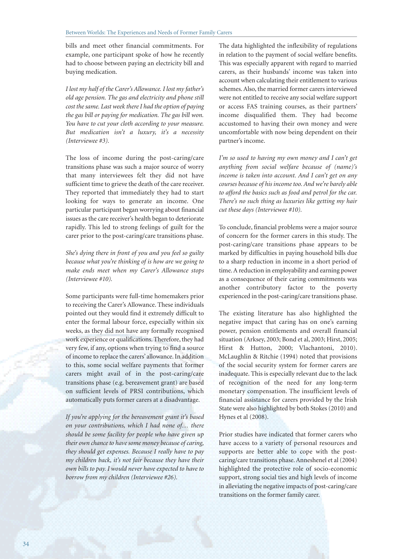bills and meet other financial commitments. For example, one participant spoke of how he recently had to choose between paying an electricity bill and buying medication.

*I lost my half of the Carer's Allowance. I lost my father's old age pension. The gas and electricity and phone still cost the same. Last week there I had the option of paying the gas bill or paying for medication. The gas bill won. You have to cut your cloth according to your measure. But medication isn't a luxury, it's a necessity (Interviewee #3).*

The loss of income during the post-caring/care transitions phase was such a major source of worry that many interviewees felt they did not have sufficient time to grieve the death of the care receiver. They reported that immediately they had to start looking for ways to generate an income. One particular participant began worrying about financial issues as the care receiver's health began to deteriorate rapidly. This led to strong feelings of guilt for the carer prior to the post-caring/care transitions phase.

*She's dying there in front of you and you feel so guilty because what you're thinking of is how are we going to make ends meet when my Carer's Allowance stops (Interviewee #10).*

Some participants were full-time homemakers prior to receiving the Carer's Allowance. These individuals pointed out they would find it extremely difficult to enter the formal labour force, especially within six weeks, as they did not have any formally recognised work experience or qualifications. Therefore, they had very few, if any, options when trying to find a source of income to replace the carers' allowance. In addition to this, some social welfare payments that former carers might avail of in the post-caring/care transitions phase (e.g. bereavement grant) are based on sufficient levels of PRSI contributions, which automatically puts former carers at a disadvantage.

*If you're applying for the bereavement grant it's based on your contributions, which I had none of… there should be some facility for people who have given up their own chance to have some money because of caring, they should get expenses. Because I really have to pay my children back, it's not fair because they have their own bills to pay. I would never have expected to have to borrow from my children (Interviewee #26).*

The data highlighted the inflexibility of regulations in relation to the payment of social welfare benefits. This was especially apparent with regard to married carers, as their husbands' income was taken into account when calculating their entitlement to various schemes. Also, the married former carers interviewed were not entitled to receive any social welfare support or access FAS training courses, as their partners' income disqualified them. They had become accustomed to having their own money and were uncomfortable with now being dependent on their partner's income.

*I'm so used to having my own money and I can't get anything from social welfare because of (name)'s income is taken into account. And I can't get on any courses because of his income too. And we're barely able to afford the basics such as food and petrol for the car. There's no such thing as luxuries like getting my hair cut these days (Interviewee #10).*

To conclude, financial problems were a major source of concern for the former carers in this study. The post-caring/care transitions phase appears to be marked by difficulties in paying household bills due to a sharp reduction in income in a short period of time. A reduction in employability and earning power as a consequence of their caring commitments was another contributory factor to the poverty experienced in the post-caring/care transitions phase.

The existing literature has also highlighted the negative impact that caring has on one's earning power, pension entitlements and overall financial situation (Arksey, 2003; Bond et al, 2003; Hirst, 2005; Hirst & Hutton, 2000; Vlachantoni, 2010). McLaughlin & Ritchie (1994) noted that provisions of the social security system for former carers are inadequate. This is especially relevant due to the lack of recognition of the need for any long-term monetary compensation. The insufficient levels of financial assistance for carers provided by the Irish State were also highlighted by both Stokes (2010) and Hynes et al (2008).

Prior studies have indicated that former carers who have access to a variety of personal resources and supports are better able to cope with the postcaring/care transitions phase. Anneshenel et al (2004) highlighted the protective role of socio-economic support, strong social ties and high levels of income in alleviating the negative impacts of post-caring/care transitions on the former family carer.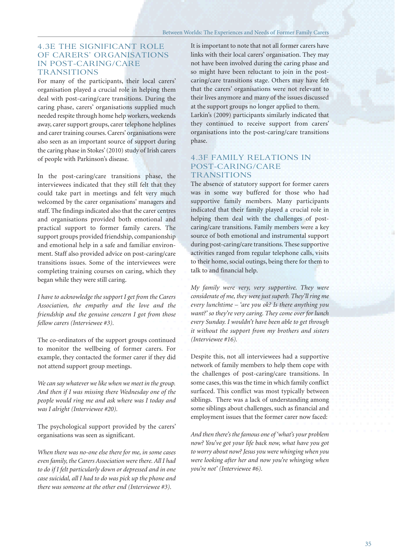#### 4.3E THE SIGNIFICANT ROLE OF CARERS' ORGANISATIONS IN POST-CARING/CARE **TRANSITIONS**

For many of the participants, their local carers' organisation played a crucial role in helping them deal with post-caring/care transitions. During the caring phase, carers' organisations supplied much needed respite through home help workers, weekends away, carer support groups, carer telephone helplines and carer training courses. Carers' organisations were also seen as an important source of support during the caring phase in Stokes' (2010) study of Irish carers of people with Parkinson's disease.

In the post-caring/care transitions phase, the interviewees indicated that they still felt that they could take part in meetings and felt very much welcomed by the carer organisations' managers and staff. The findings indicated also that the carer centres and organisations provided both emotional and practical support to former family carers. The support groups provided friendship, companionship and emotional help in a safe and familiar environment. Staff also provided advice on post-caring/care transitions issues. Some of the interviewees were completing training courses on caring, which they began while they were still caring.

*I have to acknowledge the support I get from the Carers Association, the empathy and the love and the friendship and the genuine concern I got from those fellow carers (Interviewee #3).*

The co-ordinators of the support groups continued to monitor the wellbeing of former carers. For example, they contacted the former carer if they did not attend support group meetings.

*We can say whatever we like when we meet in the group. And then if I was missing there Wednesday one of the people would ring me and ask where was I today and was I alright (Interviewee #20).*

The psychological support provided by the carers' organisations was seen as significant.

*When there was no-one else there for me, in some cases even family, the Carers Association were there. All I had to do if I felt particularly down or depressed and in one case suicidal, all I had to do was pick up the phone and there was someone at the other end (Interviewee #3).*

It is important to note that not all former carers have links with their local carers' organisation. They may not have been involved during the caring phase and so might have been reluctant to join in the postcaring/care transitions stage. Others may have felt that the carers' organisations were not relevant to their lives anymore and many of the issues discussed at the support groups no longer applied to them. Larkin's (2009) participants similarly indicated that they continued to receive support from carers' organisations into the post-caring/care transitions

#### 4.3F FAMILY RELATIONS IN POST-CARING/CARE TRANSITIONS

phase.

The absence of statutory support for former carers was in some way buffered for those who had supportive family members. Many participants indicated that their family played a crucial role in helping them deal with the challenges of postcaring/care transitions. Family members were a key source of both emotional and instrumental support during post-caring/care transitions. These supportive activities ranged from regular telephone calls, visits to their home, social outings, being there for them to talk to and financial help.

*My family were very, very supportive. They were considerate of me, they were just superb. They'll ring me every lunchtime – 'are you ok? Is there anything you want?' so they're very caring. They come over for lunch every Sunday. I wouldn't have been able to get through it without the support from my brothers and sisters (Interviewee #16).*

Despite this, not all interviewees had a supportive network of family members to help them cope with the challenges of post-caring/care transitions. In some cases, this was the time in which family conflict surfaced. This conflict was most typically between siblings. There was a lack of understanding among some siblings about challenges, such as financial and employment issues that the former carer now faced:

*And then there's the famous one of 'what's your problem now? You've got your life back now, what have you got to worry about now? Jesus you were whinging when you were looking after her and now you're whinging when you're not' (Interviewee #6).*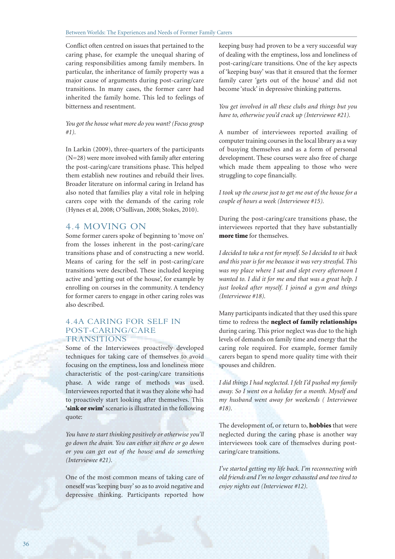Conflict often centred on issues that pertained to the caring phase, for example the unequal sharing of caring responsibilities among family members. In particular, the inheritance of family property was a major cause of arguments during post-caring/care transitions. In many cases, the former carer had inherited the family home. This led to feelings of bitterness and resentment.

#### *You got the house what more do you want? (Focus group #1).*

In Larkin (2009), three-quarters of the participants (N=28) were more involved with family after entering the post-caring/care transitions phase. This helped them establish new routines and rebuild their lives. Broader literature on informal caring in Ireland has also noted that families play a vital role in helping carers cope with the demands of the caring role (Hynes et al, 2008; O'Sullivan, 2008; Stokes, 2010).

#### 4.4 MOVING ON

Some former carers spoke of beginning to 'move on' from the losses inherent in the post-caring/care transitions phase and of constructing a new world. Means of caring for the self in post-caring/care transitions were described. These included keeping active and 'getting out of the house', for example by enrolling on courses in the community. A tendency for former carers to engage in other caring roles was also described.

#### 4.4A CARING FOR SELF IN POST-CARING/CARE TRANSITIONS

Some of the Interviewees proactively developed techniques for taking care of themselves to avoid focusing on the emptiness, loss and loneliness more characteristic of the post-caring/care transitions phase. A wide range of methods was used. Interviewees reported that it was they alone who had to proactively start looking after themselves. This **'sink or swim'** scenario is illustrated in the following quote:

*You have to start thinking positively or otherwise you'll go down the drain. You can either sit there or go down or you can get out of the house and do something (Interviewee #21).*

One of the most common means of taking care of oneself was 'keeping busy' so as to avoid negative and depressive thinking. Participants reported how

keeping busy had proven to be a very successful way of dealing with the emptiness, loss and loneliness of post-caring/care transitions. One of the key aspects of 'keeping busy' was that it ensured that the former family carer 'gets out of the house' and did not become 'stuck' in depressive thinking patterns.

*You get involved in all these clubs and things but you have to, otherwise you'd crack up (Interviewee #21).*

A number of interviewees reported availing of computer training courses in the local library as a way of busying themselves and as a form of personal development. These courses were also free of charge which made them appealing to those who were struggling to cope financially.

*I took up the course just to get me out of the house for a couple of hours a week (Interviewee #15).*

During the post-caring/care transitions phase, the interviewees reported that they have substantially **more time** for themselves.

*I decided to take a rest for myself. So I decided to sit back and this year is for me because it was very stressful. This was my place where I sat and slept every afternoon I wanted to. I did it for me and that was a great help. I just looked after myself. I joined a gym and things (Interviewee #18).*

Many participants indicated that they used this spare time to redress the **neglect of family relationships** during caring. This prior neglect was due to the high levels of demands on family time and energy that the caring role required. For example, former family carers began to spend more quality time with their spouses and children.

*I did things I had neglected. I felt I'd pushed my family away. So I went on a holiday for a month. Myself and my husband went away for weekends ( Interviewee #18).*

The development of, or return to, **hobbies** that were neglected during the caring phase is another way interviewees took care of themselves during postcaring/care transitions.

*I've started getting my life back. I'm reconnecting with old friends and I'm no longer exhausted and too tired to enjoy nights out (Interviewee #12).*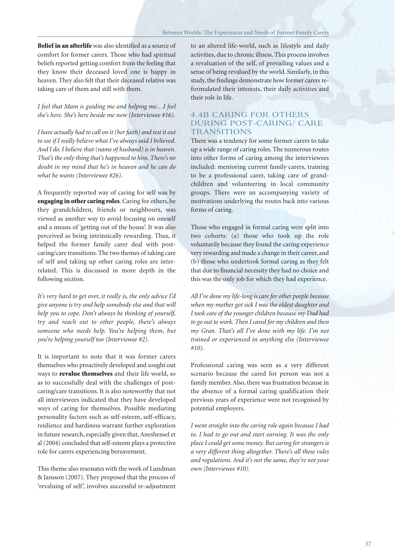**Belief in an afterlife** was also identified as a source of comfort for former carers. Those who had spiritual beliefs reported getting comfort from the feeling that they know their deceased loved one is happy in heaven. They also felt that their deceased relative was taking care of them and still with them.

*I feel that Mam is guiding me and helping me…I feel she's here. She's here beside me now (Interviewee #16).*

*I have actually had to call on it (her faith) and test it out to see if I really believe what I've always said I believed. And I do. I believe that (name of husband) is in heaven. That's the only thing that's happened to him. There's no doubt in my mind that he's in heaven and he can do what he wants (Interviewee #26).*

A frequently reported way of caring for self was by **engaging in other caring roles**. Caring for others, be they grandchildren, friends or neighbours, was viewed as another way to avoid focusing on oneself and a means of 'getting out of the house'. It was also perceived as being intrinsically rewarding. Thus, it helped the former family carer deal with postcaring/care transitions. The two themes of taking care of self and taking up other caring roles are interrelated. This is discussed in more depth in the following section.

*It's very hard to get over, it really is, the only advice I'd give anyone is try and help somebody else and that will help you to cope. Don't always be thinking of yourself, try and reach out to other people, there's always someone who needs help. You're helping them, but you're helping yourself too (Interviewee #2).*

It is important to note that it was former carers themselves who proactively developed and sought out ways to **revalue themselves** and their life world, so as to successfully deal with the challenges of postcaring/care transitions. It is also noteworthy that not all interviewees indicated that they have developed ways of caring for themselves. Possible mediating personality factors such as self-esteem, self-efficacy, resilience and hardiness warrant further exploration in future research, especially given that, Aneshensel et al (2004) concluded that self-esteem plays a protective role for carers experiencing bereavement.

This theme also resonates with the work of Lundman & Jansson (2007). They proposed that the process of 'revaluing of self', involves successful re-adjustment

to an altered life-world, such as lifestyle and daily activities, due to chronic illness. This process involves a revaluation of the self, of prevailing values and a sense of being revalued by the world. Similarly, in this study, the findings demonstrate how former carers reformulated their interests, their daily activities and their role in life.

#### 4.4B CARING FOR OTHERS DURING POST-CARING/ CARE **TRANSITIONS**

There was a tendency for some former carers to take up a wide range of caring roles. The numerous routes into other forms of caring among the interviewees included: mentoring current family carers, training to be a professional carer, taking care of grandchildren and volunteering in local community groups. There were an accompanying variety of motivations underlying the routes back into various forms of caring.

Those who engaged in formal caring were split into two cohorts: (a) those who took up the role voluntarily because they found the caring experience very rewarding and made a change in their career, and (b) those who undertook formal caring as they felt that due to financial necessity they had no choice and this was the only job for which they had experience.

*All I've done my life-long is care for other people because when my mother got sick I was the oldest daughter and I took care of the younger children because my Dad had to go out to work. Then I cared for my children and then my Gran. That's all I've done with my life. I'm not trained or experienced in anything else (Interviewee #10).*

Professional caring was seen as a very different scenario because the cared for person was not a family member. Also, there was frustration because in the absence of a formal caring qualification their previous years of experience were not recognised by potential employers.

*I went straight into the caring role again because I had to. I had to go out and start earning. It was the only place I could get some money. But caring for strangers is a very different thing altogether. There's all these rules and regulations. And it's not the same, they're not your own (Interviewee #10).*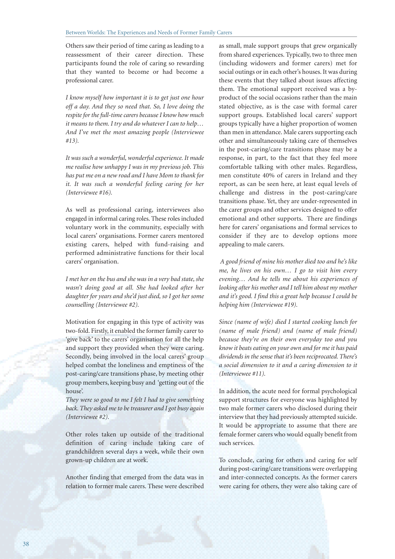Others saw their period of time caring as leading to a reassessment of their career direction. These participants found the role of caring so rewarding that they wanted to become or had become a professional carer.

*I know myself how important it is to get just one hour off a day. And they so need that. So, I love doing the respite for the full-time carers because I know how much it means to them. I try and do whatever I can to help… And I've met the most amazing people (Interviewee #13).* 

*It was such a wonderful, wonderful experience. It made me realise how unhappy I was in my previous job. This has put me on a new road and I have Mom to thank for it. It was such a wonderful feeling caring for her (Interviewee #16).*

As well as professional caring, interviewees also engaged in informal caring roles. These roles included voluntary work in the community, especially with local carers' organisations. Former carers mentored existing carers, helped with fund-raising and performed administrative functions for their local carers' organisation.

*I met her on the bus and she was in a very bad state, she wasn't doing good at all. She had looked after her daughter for years and she'd just died, so I got her some counselling (Interviewee #2).*

Motivation for engaging in this type of activity was two-fold. Firstly, it enabled the former family carer to 'give back' to the carers' organisation for all the help and support they provided when they were caring. Secondly, being involved in the local carers' group helped combat the loneliness and emptiness of the post-caring/care transitions phase, by meeting other group members, keeping busy and 'getting out of the house'.

*They were so good to me I felt I had to give something back. They asked me to be treasurer and I got busy again (Interviewee #2).*

Other roles taken up outside of the traditional definition of caring include taking care of grandchildren several days a week, while their own grown-up children are at work.

Another finding that emerged from the data was in relation to former male carers. These were described as small, male support groups that grew organically from shared experiences. Typically, two to three men (including widowers and former carers) met for social outings or in each other's houses. It was during these events that they talked about issues affecting them. The emotional support received was a byproduct of the social occasions rather than the main stated objective, as is the case with formal carer support groups. Established local carers' support groups typically have a higher proportion of women than men in attendance. Male carers supporting each other and simultaneously taking care of themselves in the post-caring/care transitions phase may be a response, in part, to the fact that they feel more comfortable talking with other males. Regardless, men constitute 40% of carers in Ireland and they report, as can be seen here, at least equal levels of challenge and distress in the post-caring/care transitions phase. Yet, they are under-represented in the carer groups and other services designed to offer emotional and other supports. There are findings here for carers' organisations and formal services to consider if they are to develop options more appealing to male carers.

*A good friend of mine his mother died too and he's like me, he lives on his own… I go to visit him every evening… And he tells me about his experiences of looking after his mother and I tell him about my mother and it's good. I find this a great help because I could be helping him (Interviewee #19).*

*Since (name of wife) died I started cooking lunch for (name of male friend) and (name of male friend) because they're on their own everyday too and you know it beats eating on your own and for me it has paid dividends in the sense that it's been reciprocated. There's a social dimension to it and a caring dimension to it (Interviewee #11).*

In addition, the acute need for formal psychological support structures for everyone was highlighted by two male former carers who disclosed during their interview that they had previously attempted suicide. It would be appropriate to assume that there are female former carers who would equally benefit from such services.

To conclude, caring for others and caring for self during post-caring/care transitions were overlapping and inter-connected concepts. As the former carers were caring for others, they were also taking care of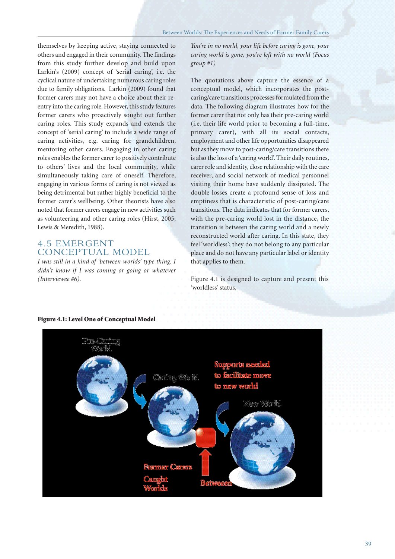themselves by keeping active, staying connected to others and engaged in their community. The findings from this study further develop and build upon Larkin's (2009) concept of 'serial caring', i.e. the cyclical nature of undertaking numerous caring roles due to family obligations. Larkin (2009) found that former carers may not have a choice about their reentry into the caring role. However, this study features former carers who proactively sought out further caring roles. This study expands and extends the concept of 'serial caring' to include a wide range of caring activities, e.g. caring for grandchildren, mentoring other carers. Engaging in other caring roles enables the former carer to positively contribute to others' lives and the local community, while simultaneously taking care of oneself. Therefore, engaging in various forms of caring is not viewed as being detrimental but rather highly beneficial to the former carer's wellbeing. Other theorists have also noted that former carers engage in new activities such as volunteering and other caring roles (Hirst, 2005; Lewis & Meredith, 1988).

#### 4.5 EMERGENT CONCEPTUAL MODEL

*I was still in a kind of 'between worlds' type thing. I didn't know if I was coming or going or whatever (Interviewee #6).*

*You're in no world, your life before caring is gone, your caring world is gone, you're left with no world (Focus group #1)*

The quotations above capture the essence of a conceptual model, which incorporates the postcaring/care transitions processes formulated from the data. The following diagram illustrates how for the former carer that not only has their pre-caring world (i.e. their life world prior to becoming a full-time, primary carer), with all its social contacts, employment and other life opportunities disappeared but as they move to post-caring/care transitions there is also the loss of a 'caring world'. Their daily routines, carer role and identity, close relationship with the care receiver, and social network of medical personnel visiting their home have suddenly dissipated. The double losses create a profound sense of loss and emptiness that is characteristic of post-caring/care transitions. The data indicates that for former carers, with the pre-caring world lost in the distance, the transition is between the caring world and a newly reconstructed world after caring. In this state, they feel 'worldless'; they do not belong to any particular place and do not have any particular label or identity that applies to them.

Figure 4.1 is designed to capture and present this 'worldless' status.



#### **Figure 4.1: Level One of Conceptual Model**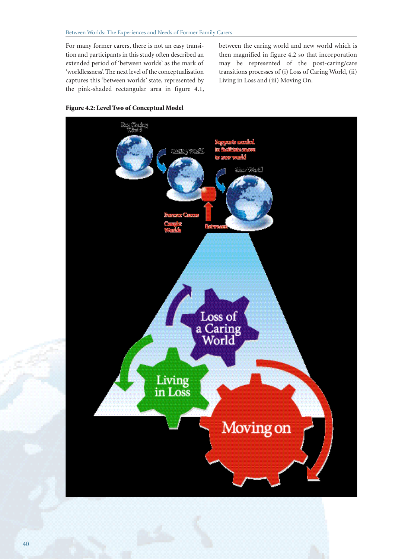For many former carers, there is not an easy transition and participants in this study often described an extended period of 'between worlds' as the mark of 'worldlessness'. The next level of the conceptualisation captures this 'between worlds' state, represented by the pink-shaded rectangular area in figure 4.1, between the caring world and new world which is then magnified in figure 4.2 so that incorporation may be represented of the post-caring/care transitions processes of (i) Loss of Caring World, (ii) Living in Loss and (iii) Moving On.



#### **Figure 4.2: Level Two of Conceptual Model**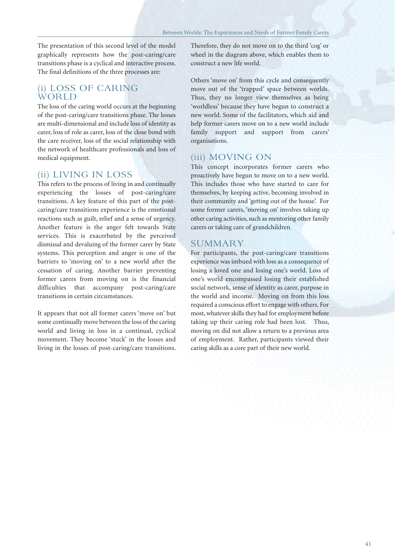The presentation of this second level of the model graphically represents how the post-caring/care transitions phase is a cyclical and interactive process. The final definitions of the three processes are:

#### (i) LOSS OF CARING WORLD

The loss of the caring world occurs at the beginning of the post-caring/care transitions phase. The losses are multi-dimensional and include loss of identity as carer, loss of role as carer, loss of the close bond with the care receiver, loss of the social relationship with the network of healthcare professionals and loss of medical equipment.

#### (ii) LIVING IN LOSS

This refers to the process of living in and continually experiencing the losses of post-caring/care transitions. A key feature of this part of the postcaring/care transitions experience is the emotional reactions such as guilt, relief and a sense of urgency. Another feature is the anger felt towards State services. This is exacerbated by the perceived dismissal and devaluing of the former carer by State systems. This perception and anger is one of the barriers to 'moving on' to a new world after the cessation of caring. Another barrier preventing former carers from moving on is the financial difficulties that accompany post-caring/care transitions in certain circumstances.

It appears that not all former carers 'move on' but some continually move between the loss of the caring world and living in loss in a continual, cyclical movement. They become 'stuck' in the losses and living in the losses of post-caring/care transitions. Therefore, they do not move on to the third 'cog' or wheel in the diagram above, which enables them to construct a new life world.

Others 'move on' from this cycle and consequently move out of the 'trapped' space between worlds. Thus, they no longer view themselves as being 'worldless' because they have begun to construct a new world. Some of the facilitators, which aid and help former carers move on to a new world include family support and support from carers' organisations.

#### (iii) MOVING ON

This concept incorporates former carers who proactively have begun to move on to a new world. This includes those who have started to care for themselves, by keeping active, becoming involved in their community and 'getting out of the house'. For some former carers, 'moving on' involves taking up other caring activities, such as mentoring other family carers or taking care of grandchildren.

#### **SUMMARY**

For participants, the post-caring/care transitions experience was imbued with loss as a consequence of losing a loved one and losing one's world. Loss of one's world encompassed losing their established social network, sense of identity as carer, purpose in the world and income. Moving on from this loss required a conscious effort to engage with others. For most, whatever skills they had for employment before taking up their caring role had been lost. Thus, moving on did not allow a return to a previous area of employment. Rather, participants viewed their caring skills as a core part of their new world.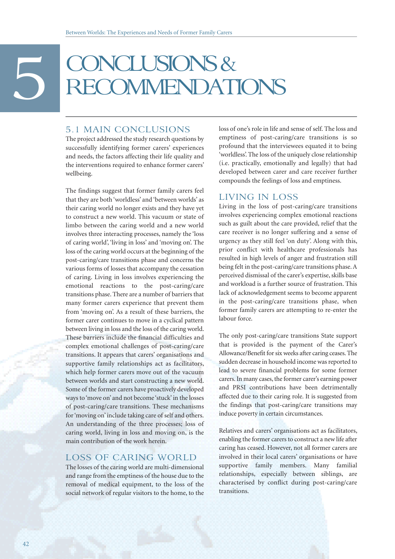# BECOMMENDATIONS

#### 5.1 MAIN CONCLUSIONS

The project addressed the study research questions by successfully identifying former carers' experiences and needs, the factors affecting their life quality and the interventions required to enhance former carers' wellbeing.

The findings suggest that former family carers feel that they are both 'worldless' and 'between worlds' as their caring world no longer exists and they have yet to construct a new world. This vacuum or state of limbo between the caring world and a new world involves three interacting processes, namely the 'loss of caring world', 'living in loss' and 'moving on'. The loss of the caring world occurs at the beginning of the post-caring/care transitions phase and concerns the various forms of losses that accompany the cessation of caring. Living in loss involves experiencing the emotional reactions to the post-caring/care transitions phase. There are a number of barriers that many former carers experience that prevent them from 'moving on'. As a result of these barriers, the former carer continues to move in a cyclical pattern between living in loss and the loss of the caring world. These barriers include the financial difficulties and complex emotional challenges of post-caring/care transitions. It appears that carers' organisations and supportive family relationships act as facilitators, which help former carers move out of the vacuum between worlds and start constructing a new world. Some of the former carers have proactively developed ways to 'move on' and not become 'stuck' in the losses of post-caring/care transitions. These mechanisms for 'moving on' include taking care of self and others. An understanding of the three processes; loss of caring world, living in loss and moving on, is the main contribution of the work herein.

#### LOSS OF CARING WORLD

The losses of the caring world are multi-dimensional and range from the emptiness of the house due to the removal of medical equipment, to the loss of the social network of regular visitors to the home, to the

loss of one's role in life and sense of self. The loss and emptiness of post-caring/care transitions is so profound that the interviewees equated it to being 'worldless'. The loss of the uniquely close relationship (i.e. practically, emotionally and legally) that had developed between carer and care receiver further compounds the feelings of loss and emptiness.

#### LIVING IN LOSS

Living in the loss of post-caring/care transitions involves experiencing complex emotional reactions such as guilt about the care provided, relief that the care receiver is no longer suffering and a sense of urgency as they still feel 'on duty'. Along with this, prior conflict with healthcare professionals has resulted in high levels of anger and frustration still being felt in the post-caring/care transitions phase. A perceived dismissal of the carer's expertise, skills base and workload is a further source of frustration. This lack of acknowledgement seems to become apparent in the post-caring/care transitions phase, when former family carers are attempting to re-enter the labour force.

The only post-caring/care transitions State support that is provided is the payment of the Carer's Allowance/Benefit for six weeks after caring ceases. The sudden decrease in household income was reported to lead to severe financial problems for some former carers. In many cases, the former carer's earning power and PRSI contributions have been detrimentally affected due to their caring role. It is suggested from the findings that post-caring/care transitions may induce poverty in certain circumstances.

Relatives and carers' organisations act as facilitators, enabling the former carers to construct a new life after caring has ceased. However, not all former carers are involved in their local carers' organisations or have supportive family members. Many familial relationships, especially between siblings, are characterised by conflict during post-caring/care transitions.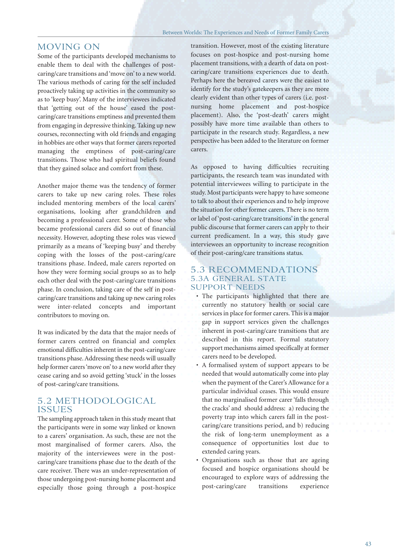#### MOVING ON

Some of the participants developed mechanisms to enable them to deal with the challenges of postcaring/care transitions and 'move on' to a new world. The various methods of caring for the self included proactively taking up activities in the community so as to 'keep busy'. Many of the interviewees indicated that 'getting out of the house' eased the postcaring/care transitions emptiness and prevented them from engaging in depressive thinking. Taking up new courses, reconnecting with old friends and engaging in hobbies are other ways that former carers reported managing the emptiness of post-caring/care transitions. Those who had spiritual beliefs found that they gained solace and comfort from these.

Another major theme was the tendency of former carers to take up new caring roles. These roles included mentoring members of the local carers' organisations, looking after grandchildren and becoming a professional carer. Some of those who became professional carers did so out of financial necessity. However, adopting these roles was viewed primarily as a means of 'keeping busy' and thereby coping with the losses of the post-caring/care transitions phase. Indeed, male carers reported on how they were forming social groups so as to help each other deal with the post-caring/care transitions phase. In conclusion, taking care of the self in postcaring/care transitions and taking up new caring roles were inter-related concepts and important contributors to moving on.

It was indicated by the data that the major needs of former carers centred on financial and complex emotional difficulties inherent in the post-caring/care transitions phase. Addressing these needs will usually help former carers 'move on' to a new world after they cease caring and so avoid getting 'stuck' in the losses of post-caring/care transitions.

#### 5.2 METHODOLOGICAL ISSUES

The sampling approach taken in this study meant that the participants were in some way linked or known to a carers' organisation. As such, these are not the most marginalised of former carers. Also, the majority of the interviewees were in the postcaring/care transitions phase due to the death of the care receiver. There was an under-representation of those undergoing post-nursing home placement and especially those going through a post-hospice

transition. However, most of the existing literature focuses on post-hospice and post-nursing home placement transitions, with a dearth of data on postcaring/care transitions experiences due to death. Perhaps here the bereaved carers were the easiest to identify for the study's gatekeepers as they are more clearly evident than other types of carers (i.e. postnursing home placement and post-hospice placement). Also, the 'post-death' carers might possibly have more time available than others to participate in the research study. Regardless, a new perspective has been added to the literature on former carers.

As opposed to having difficulties recruiting participants, the research team was inundated with potential interviewees willing to participate in the study. Most participants were happy to have someone to talk to about their experiences and to help improve the situation for other former carers. There is no term or label of 'post-caring/care transitions' in the general public discourse that former carers can apply to their current predicament. In a way, this study gave interviewees an opportunity to increase recognition of their post-caring/care transitions status.

#### 5.3 RECOMMENDATIONS 5.3A GENERAL STATE SUPPORT NEEDS

- The participants highlighted that there are currently no statutory health or social care services in place for former carers. This is a major gap in support services given the challenges inherent in post-caring/care transitions that are described in this report. Formal statutory support mechanisms aimed specifically at former carers need to be developed.
- A formalised system of support appears to be needed that would automatically come into play when the payment of the Carer's Allowance for a particular individual ceases. This would ensure that no marginalised former carer 'falls through the cracks' and should address: a) reducing the poverty trap into which carers fall in the postcaring/care transitions period, and b) reducing the risk of long-term unemployment as a consequence of opportunities lost due to extended caring years.
- Organisations such as those that are ageing focused and hospice organisations should be encouraged to explore ways of addressing the post-caring/care transitions experience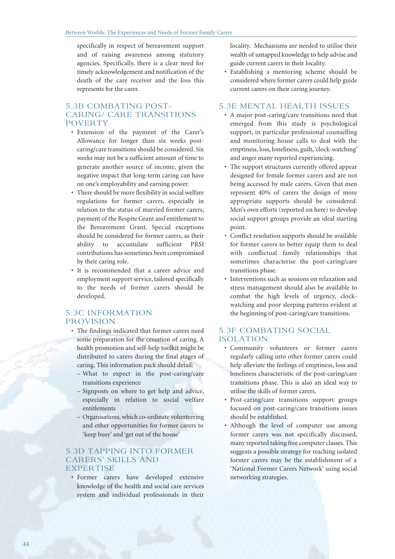specifically in respect of bereavement support and of raising awareness among statutory agencies. Specifically, there is a clear need for timely acknowledgement and notification of the death of the care receiver and the loss this represents for the carer.

#### 5.3B COMBATING POST-CARING/ CARE TRANSITIONS POVERTY

- Extension of the payment of the Carer's Allowance for longer than six weeks postcaring/care transitions should be considered. Six weeks may not be a sufficient amount of time to generate another source of income, given the negative impact that long-term caring can have on one's employability and earning power.
- There should be more flexibility in social welfare regulations for former carers, especially in relation to the status of married former carers, payment of the Respite Grant and entitlement to the Bereavement Grant. Special exceptions should be considered for former carers, as their ability to accumulate sufficient PRSI contributions has sometimes been compromised by their caring role.
- It is recommended that a career advice and employment support service, tailored specifically to the needs of former carers should be developed.

#### 5.3C INFORMATION PROVISION

- The findings indicated that former carers need some preparation for the cessation of caring. A health promotion and self-help toolkit might be distributed to carers during the final stages of caring. This information pack should detail:
	- What to expect in the post-caring/care transitions experience
	- Signposts on where to get help and advice, especially in relation to social welfare entitlements
	- Organisations, which co-ordinate volunteering and other opportunities for former carers to 'keep busy' and 'get out of the house'

#### 5.3D TAPPING INTO FORMER CARERS' SKILLS AND **EXPERTISE**

• Former carers have developed extensive knowledge of the health and social care services system and individual professionals in their

locality. Mechanisms are needed to utilise their wealth of untapped knowledge to help advise and guide current carers in their locality.

• Establishing a mentoring scheme should be considered where former carers could help guide current carers on their caring journey.

#### 5.3E MENTAL HEALTH ISSUES

- A major post-caring/care transitions need that emerged from this study is psychological support, in particular professional counselling and monitoring house calls to deal with the emptiness, loss, loneliness, guilt, 'clock-watching' and anger many reported experiencing.
- The support structures currently offered appear designed for female former carers and are not being accessed by male carers. Given that men represent 40% of carers the design of more appropriate supports should be considered. Men's own efforts (reported on here) to develop social support groups provide an ideal starting point.
- Conflict resolution supports should be available for former carers to better equip them to deal with conflictual family relationships that sometimes characterise the post-caring/care transitions phase.
- Interventions such as sessions on relaxation and stress management should also be available to combat the high levels of urgency, clockwatching and poor sleeping patterns evident at the beginning of post-caring/care transitions.

#### 5.3F COMBATING SOCIAL ISOLATION

- Community volunteers or former carers regularly calling into other former carers could help alleviate the feelings of emptiness, loss and loneliness characteristic of the post-caring/care transitions phase. This is also an ideal way to utilise the skills of former carers.
- Post-caring/care transitions support groups focused on post-caring/care transitions issues should be established.
- Although the level of computer use among former carers was not specifically discussed, many reported taking free computer classes. This suggests a possible strategy for reaching isolated former carers may be the establishment of a 'National Former Carers Network' using social networking strategies.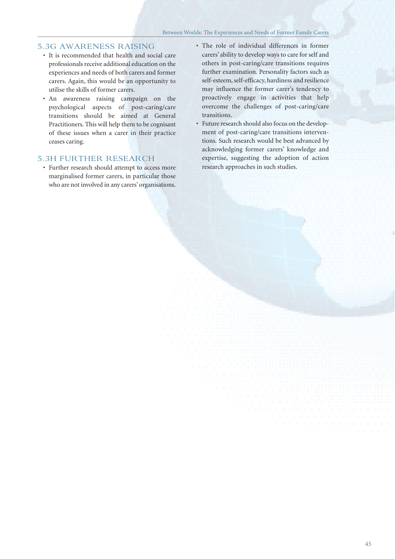#### 5.3G AWARENESS RAISING

- It is recommended that health and social care professionals receive additional education on the experiences and needs of both carers and former carers. Again, this would be an opportunity to utilise the skills of former carers.
- An awareness raising campaign on the psychological aspects of post-caring/care transitions should be aimed at General Practitioners. This will help them to be cognisant of these issues when a carer in their practice ceases caring.

#### 5.3H FURTHER RESEARCH

- Further research should attempt to access more marginalised former carers, in particular those who are not involved in any carers' organisations.
- The role of individual differences in former carers' ability to develop ways to care for self and others in post-caring/care transitions requires further examination. Personality factors such as self-esteem, self-efficacy, hardiness and resilience may influence the former carer's tendency to proactively engage in activities that help overcome the challenges of post-caring/care transitions.
- Future research should also focus on the development of post-caring/care transitions interventions. Such research would be best advanced by acknowledging former carers' knowledge and expertise, suggesting the adoption of action research approaches in such studies.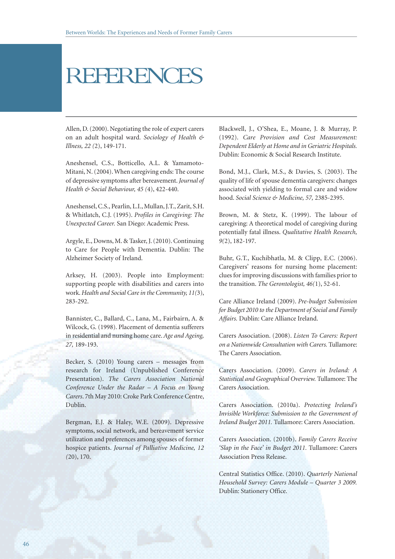## REFERENCE

Allen, D. (2000). Negotiating the role of expert carers on an adult hospital ward*. Sociology of Health & Illness, 22 (*2), 149-171.

Aneshensel, C.S., Botticello, A.L. & Yamamoto-Mitani, N. (2004). When caregiving ends: The course of depressive symptoms after bereavement. *Journal of Health & Social Behaviour, 45 (*4), 422-440.

Aneshensel, C.S., Pearlin, L.I., Mullan, J.T., Zarit, S.H. & Whitlatch, C.J. (1995). *Profiles in Caregiving: The Unexpected Career.* San Diego: Academic Press.

Argyle, E., Downs, M. & Tasker, J. (2010). Continuing to Care for People with Dementia. Dublin: The Alzheimer Society of Ireland.

Arksey, H. (2003). People into Employment: supporting people with disabilities and carers into work. *Health and Social Care in the Community, 11(*3), 283-292.

Bannister, C., Ballard, C., Lana, M., Fairbairn, A. & Wilcock, G. (1998). Placement of dementia sufferers in residential and nursing home care. *Age and Ageing, 27,* 189-193.

Becker, S. (2010) Young carers – messages from research for Ireland (Unpublished Conference Presentation). *The Carers Association National Conference Under the Radar – A Focus on Young Carers*. 7th May 2010: Croke Park Conference Centre, Dublin.

Bergman, E.J. & Haley, W.E. (2009). Depressive symptoms, social network, and bereavement service utilization and preferences among spouses of former hospice patients. *Journal of Palliative Medicine, 12 (*20), 170.

Blackwell, J., O'Shea, E., Moane, J. & Murray, P. (1992). *Care Provision and Cost Measurement: Dependent Elderly at Home and in Geriatric Hospitals.* Dublin: Economic & Social Research Institute.

Bond, M.J., Clark, M.S., & Davies, S. (2003). The quality of life of spouse dementia caregivers: changes associated with yielding to formal care and widow hood. *Social Science & Medicine, 57,* 2385-2395.

Brown, M. & Stetz, K. (1999). The labour of caregiving: A theoretical model of caregiving during potentially fatal illness. *Qualitative Health Research, 9(*2), 182-197.

Buhr, G.T., Kuchibhatla, M. & Clipp, E.C. (2006). Caregivers' reasons for nursing home placement: clues for improving discussions with families prior to the transition. *The Gerontologist, 46(*1), 52-61.

Care Alliance Ireland (2009). *Pre-budget Submission for Budget 2010 to the Department of Social and Family Affairs.* Dublin: Care Alliance Ireland.

Carers Association. (2008). *Listen To Carers: Report on a Nationwide Consultation with Carers.* Tullamore: The Carers Association.

Carers Association. (2009). *Carers in Ireland: A Statistical and Geographical Overview.* Tullamore: The Carers Association.

Carers Association. (2010a). *Protecting Ireland's Invisible Workforce: Submission to the Government of Ireland Budget 2011.* Tullamore: Carers Association.

Carers Association. (2010b). *Family Carers Receive 'Slap in the Face' in Budget 2011.* Tullamore: Carers Association Press Release.

Central Statistics Office. (2010). *Quarterly National Household Survey: Carers Module – Quarter 3 2009.* Dublin: Stationery Office.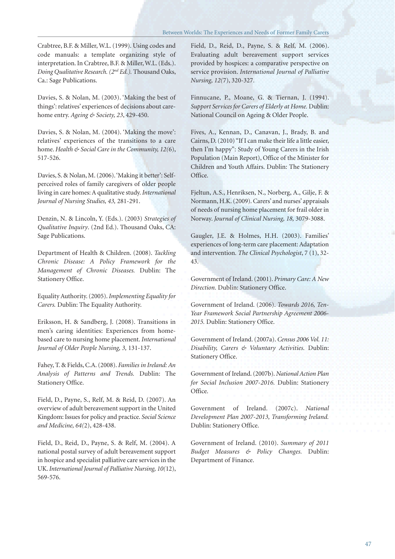Crabtree, B.F. & Miller, W.L. (1999). Using codes and code manuals: a template organizing style of interpretation. In Crabtree, B.F. & Miller, W.L. (Eds.). *Doing Qualitative Research. (2nd Ed.).* Thousand Oaks, Ca.: Sage Publications.

Davies, S. & Nolan, M. (2003). 'Making the best of things': relatives' experiences of decisions about carehome entry. *Ageing & Society, 23*, 429-450.

Davies, S. & Nolan, M. (2004). 'Making the move': relatives' experiences of the transitions to a care home. *Health & Social Care in the Community, 12(*6), 517-526.

Davies, S. & Nolan, M. (2006). 'Making it better': Selfperceived roles of family caregivers of older people living in care homes: A qualitative study. *International Journal of Nursing Studies, 43,* 281-291.

Denzin, N. & Lincoln, Y. (Eds.). (2003) *Strategies of Qualitative Inquiry*. (2nd Ed.). Thousand Oaks, CA: Sage Publications.

Department of Health & Children. (2008). *Tackling Chronic Disease: A Policy Framework for the Management of Chronic Diseases.* Dublin: The Stationery Office.

Equality Authority. (2005). *Implementing Equality for Carers.* Dublin: The Equality Authority.

Eriksson, H. & Sandberg, J. (2008). Transitions in men's caring identities: Experiences from homebased care to nursing home placement. *International Journal of Older People Nursing, 3,* 131-137.

Fahey, T. & Fields, C.A. (2008). *Families in Ireland: An Analysis of Patterns and Trends.* Dublin: The Stationery Office.

Field, D., Payne, S., Relf, M. & Reid, D. (2007). An overview of adult bereavement support in the United Kingdom: Issues for policy and practice. *Social Science and Medicine, 64(*2), 428-438.

Field, D., Reid, D., Payne, S. & Relf, M. (2004). A national postal survey of adult bereavement support in hospice and specialist palliative care services in the UK. *International Journal of Palliative Nursing, 10(*12), 569-576.

Field, D., Reid, D., Payne, S. & Relf, M. (2006). Evaluating adult bereavement support services provided by hospices: a comparative perspective on service provision. *International Journal of Palliative Nursing, 12(*7), 320-327.

Finnucane, P., Moane, G. & Tiernan, J. (1994). *Support Services for Carers of Elderly at Home.* Dublin: National Council on Ageing & Older People.

Fives, A., Kennan, D., Canavan, J., Brady, B. and Cairns, D. (2010) "If I can make their life a little easier, then I'm happy": Study of Young Carers in the Irish Population (Main Report), Office of the Minister for Children and Youth Affairs. Dublin: The Stationery Office.

Fjeltun, A.S., Henriksen, N., Norberg, A., Gilje, F. & Normann, H.K. (2009). Carers' and nurses' appraisals of needs of nursing home placement for frail older in Norway. *Journal of Clinical Nursing, 18,* 3079-3088.

Gaugler, J.E. & Holmes, H.H. (2003). Families' experiences of long-term care placement: Adaptation and intervention*. The Clinical Psychologist*, 7 (1), 32- 43.

Government of Ireland. (2001). *Primary Care: A New Direction.* Dublin: Stationery Office.

Government of Ireland. (2006). *Towards 2016, Ten-Year Framework Social Partnership Agreement 2006- 2015.* Dublin: Stationery Office.

Government of Ireland. (2007a). *Census 2006 Vol. 11: Disability, Carers & Voluntary Activities.* Dublin: Stationery Office.

Government of Ireland. (2007b). *National Action Plan for Social Inclusion 2007-2016.* Dublin: Stationery Office.

Government of Ireland. (2007c). *National Development Plan 2007-2013, Transforming Ireland.* Dublin: Stationery Office.

Government of Ireland. (2010). *Summary of 2011 Budget Measures & Policy Changes.* Dublin: Department of Finance.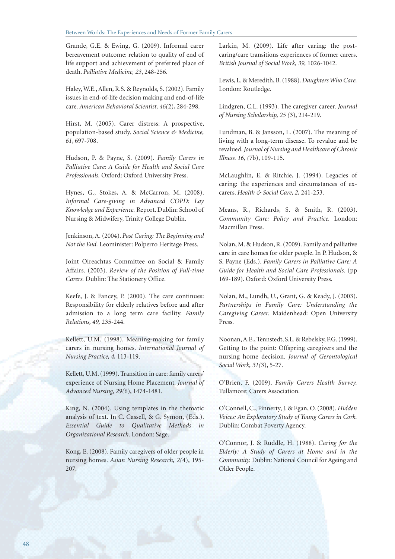Grande, G.E. & Ewing, G. (2009). Informal carer bereavement outcome: relation to quality of end of life support and achievement of preferred place of death. *Palliative Medicine, 23*, 248-256.

Haley, W.E., Allen, R.S. & Reynolds, S. (2002). Family issues in end-of-life decision making and end-of-life care. *American Behavioral Scientist, 46(*2), 284-298.

Hirst, M. (2005). Carer distress: A prospective, population-based study. *Social Science & Medicine, 61*, 697-708.

Hudson, P. & Payne, S. (2009). *Family Carers in Palliative Care: A Guide for Health and Social Care Professionals.* Oxford: Oxford University Press.

Hynes, G., Stokes, A. & McCarron, M. (2008). *Informal Care-giving in Advanced COPD: Lay Knowledge and Experience.* Report. Dublin: School of Nursing & Midwifery, Trinity College Dublin.

Jenkinson, A. (2004). *Past Caring: The Beginning and Not the End.* Leominister: Polperro Heritage Press.

Joint Oireachtas Committee on Social & Family Affairs. (2003). *Review of the Position of Full-time Carers.* Dublin: The Stationery Office.

Keefe, J. & Fancey, P. (2000). The care continues: Responsibility for elderly relatives before and after admission to a long term care facility. *Family Relations, 49,* 235-244.

Kellett, U.M. (1998). Meaning-making for family carers in nursing homes. *International Journal of Nursing Practice, 4,* 113-119.

Kellett, U.M. (1999). Transition in care: family carers' experience of Nursing Home Placement. *Journal of Advanced Nursing, 29(*6), 1474-1481.

King, N. (2004). Using templates in the thematic analysis of text. In C. Cassell, & G. Symon, (Eds.). *Essential Guide to Qualitative Methods in Organizational Research.* London: Sage.

Kong, E. (2008). Family caregivers of older people in nursing homes. *Asian Nursing Research, 2(*4), 195- 207.

Larkin, M. (2009). Life after caring: the postcaring/care transitions experiences of former carers. *British Journal of Social Work, 39,* 1026-1042.

Lewis, L. & Meredith, B. (1988). *Daughters Who Care.* London: Routledge.

Lindgren, C.L. (1993). The caregiver career. *Journal of Nursing Scholarship, 25 (*3), 214-219.

Lundman, B. & Jansson, L. (2007). The meaning of living with a long-term disease. To revalue and be revalued. *Journal of Nursing and Healthcare of Chronic Illness. 16, (*7b), 109-115.

McLaughlin, E. & Ritchie, J. (1994). Legacies of caring: the experiences and circumstances of excarers. *Health & Social Care, 2,* 241-253.

Means, R., Richards, S. & Smith, R. (2003). *Community Care: Policy and Practice.* London: Macmillan Press.

Nolan, M. & Hudson, R. (2009). Family and palliative care in care homes for older people. In P. Hudson, & S. Payne (Eds.). *Family Carers in Palliative Care: A Guide for Health and Social Care Professionals.* (pp 169-189). Oxford: Oxford University Press.

Nolan, M., Lundh, U., Grant, G. & Keady, J. (2003). *Partnerships in Family Care: Understanding the Caregiving Career.* Maidenhead: Open University Press.

Noonan, A.E., Tennstedt, S.L. & Rebelsky, F.G. (1999). Getting to the point: Offspring caregivers and the nursing home decision. *Journal of Gerontological Social Work, 31(*3), 5-27.

O'Brien, F. (2009). *Family Carers Health Survey.* Tullamore: Carers Association.

O'Connell, C., Finnerty, J. & Egan, O. (2008). *Hidden Voices: An Exploratory Study of Young Carers in Cork.* Dublin: Combat Poverty Agency.

O'Connor, J. & Ruddle, H. (1988). *Caring for the Elderly: A Study of Carers at Home and in the Community.* Dublin: National Council for Ageing and Older People.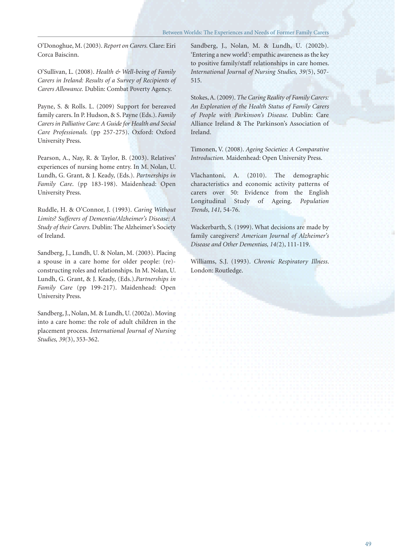O'Donoghue, M. (2003). *Report on Carers.* Clare: Eiri Corca Baiscinn.

O'Sullivan, L. (2008). *Health & Well-being of Family Carers in Ireland: Results of a Survey of Recipients of Carers Allowance.* Dublin: Combat Poverty Agency.

Payne, S. & Rolls. L. (2009) Support for bereaved family carers. In P. Hudson, & S. Payne (Eds.). *Family Carers in Palliative Care: A Guide for Health and Social Care Professionals.* (pp 257-275). Oxford: Oxford University Press.

Pearson, A., Nay, R. & Taylor, B. (2003). Relatives' experiences of nursing home entry. In M. Nolan, U. Lundh, G. Grant, & J. Keady, (Eds.). *Partnerships in Family Care*. (pp 183-198). Maidenhead: Open University Press.

Ruddle, H. & O'Connor, J. (1993). *Caring Without Limits? Sufferers of Dementia/Alzheimer's Disease: A Study of their Carers.* Dublin: The Alzheimer's Society of Ireland.

Sandberg, J., Lundh, U. & Nolan, M. (2003). Placing a spouse in a care home for older people: (re) constructing roles and relationships. In M. Nolan, U. Lundh, G. Grant, & J. Keady, (Eds.).*Partnerships in Family Care* (pp 199-217). Maidenhead: Open University Press.

Sandberg, J., Nolan, M. & Lundh, U. (2002a). Moving into a care home: the role of adult children in the placement process. *International Journal of Nursing Studies, 39(*3), 353-362.

Sandberg, J., Nolan, M. & Lundh, U. (2002b). 'Entering a new world': empathic awareness as the key to positive family/staff relationships in care homes. *International Journal of Nursing Studies, 39(*5), 507- 515.

Stokes, A. (2009). *The Caring Reality of Family Carers: An Exploration of the Health Status of Family Carers of People with Parkinson's Disease.* Dublin: Care Alliance Ireland & The Parkinson's Association of Ireland.

Timonen, V. (2008). *Ageing Societies: A Comparative Introduction.* Maidenhead: Open University Press.

Vlachantoni, A. (2010). The demographic characteristics and economic activity patterns of carers over 50: Evidence from the English Longitudinal Study of Ageing. *Population Trends*, *141,* 54-76.

Wackerbarth, S. (1999). What decisions are made by family caregivers? *American Journal of Alzheimer's Disease and Other Dementias, 14(*2), 111-119.

Williams, S.J. (1993). *Chronic Respiratory Illness*. London: Routledge.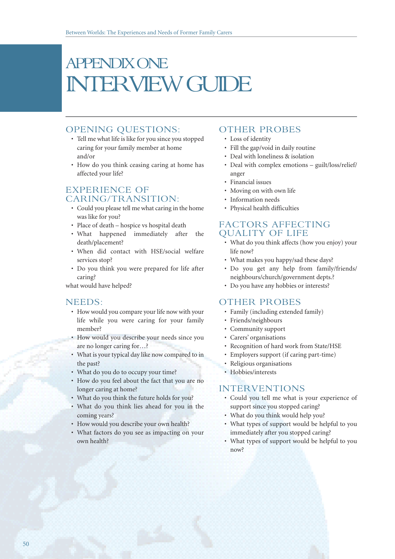### APPENDIX ONE INTERVIEW GUIDE

#### OPENING QUESTIONS:

- Tell me what life is like for you since you stopped caring for your family member at home and/or
- How do you think ceasing caring at home has affected your life?

#### EXPERIENCE OF CARING/TRANSITION:

- Could you please tell me what caring in the home was like for you?
- Place of death hospice vs hospital death
- What happened immediately after the death/placement?
- When did contact with HSE/social welfare services stop?
- Do you think you were prepared for life after caring?

what would have helped?

#### NEEDS:

- How would you compare your life now with your life while you were caring for your family member?
- How would you describe your needs since you are no longer caring for…?
- What is your typical day like now compared to in the past?
- What do you do to occupy your time?
- How do you feel about the fact that you are no longer caring at home?
- What do you think the future holds for you?
- What do you think lies ahead for you in the coming years?
- How would you describe your own health?
- What factors do you see as impacting on your own health?

#### OTHER PROBES

- Loss of identity
- Fill the gap/void in daily routine
- Deal with loneliness & isolation
- Deal with complex emotions guilt/loss/relief/ anger
- Financial issues
- Moving on with own life
- Information needs
- Physical health difficulties

#### FACTORS AFFECTING QUALITY OF LIFE

- What do you think affects (how you enjoy) your life now?
- What makes you happy/sad these days?
- Do you get any help from family/friends/ neighbours/church/government depts.?
- Do you have any hobbies or interests?

#### OTHER PROBES

- Family (including extended family)
- Friends/neighbours
- Community support
- Carers' organisations
- Recognition of hard work from State/HSE
- Employers support (if caring part-time)
- Religious organisations
- Hobbies/interests

#### INTERVENTIONS

- Could you tell me what is your experience of support since you stopped caring?
- What do you think would help you?
- What types of support would be helpful to you immediately after you stopped caring?
- What types of support would be helpful to you now?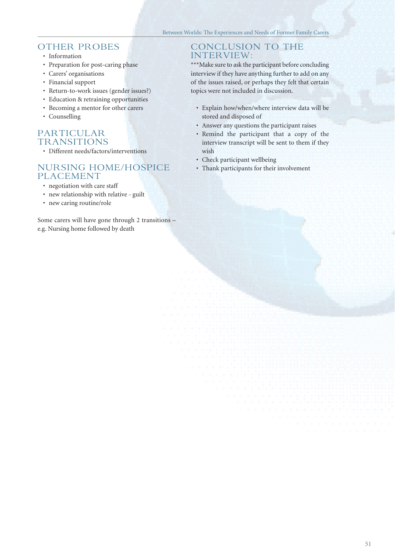#### OTHER PROBES

- Information
- Preparation for post-caring phase
- Carers' organisations
- Financial support
- Return-to-work issues (gender issues?)
- Education & retraining opportunities
- Becoming a mentor for other carers
- Counselling

#### PARTICULAR TRANSITIONS

• Different needs/factors/interventions

#### NURSING HOME/HOSPICE PLACEMENT

- negotiation with care staff
- new relationship with relative guilt
- new caring routine/role

Some carers will have gone through 2 transitions – e.g. Nursing home followed by death

#### CONCLUSION TO THE INTERVIEW:

\*\*\*Make sure to ask the participant before concluding interview if they have anything further to add on any of the issues raised, or perhaps they felt that certain topics were not included in discussion.

- Explain how/when/where interview data will be stored and disposed of
- Answer any questions the participant raises
- Remind the participant that a copy of the interview transcript will be sent to them if they wish
- Check participant wellbeing
- Thank participants for their involvement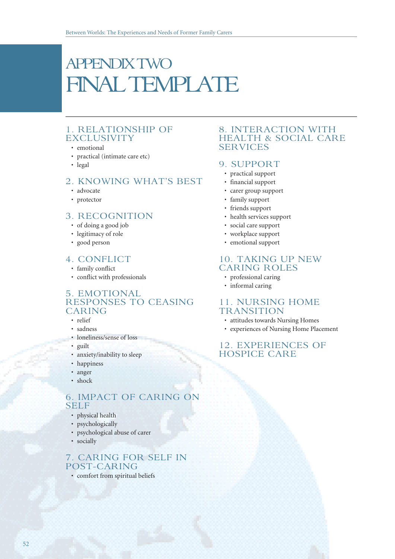## APPENDIX TWO FINAL TEMPLATE

#### 1. RELATIONSHIP OF EXCLUSIVITY

#### • emotional

- practical (intimate care etc)
- legal

#### 2. KNOWING WHAT'S BEST

- advocate
- protector

#### 3. RECOGNITION

- of doing a good job
- legitimacy of role
- good person

#### 4. CONFLICT

- family conflict
- conflict with professionals

#### 5. EMOTIONAL RESPONSES TO CEASING CARING

- relief
- sadness
- loneliness/sense of loss
- guilt
- anxiety/inability to sleep
- happiness
- anger
- shock

#### 6. IMPACT OF CARING ON SELF

- physical health
- psychologically
- psychological abuse of carer
- socially

#### 7. CARING FOR SELF IN POST-CARING

• comfort from spiritual beliefs

#### 8. INTERACTION WITH HEALTH & SOCIAL CARE SERVICES

#### 9. SUPPORT

- practical support
- financial support
- carer group support
- family support
- friends support
- health services support
- social care support
- workplace support
- emotional support

#### 10. TAKING UP NEW CARING ROLES

- professional caring
- informal caring

#### 11. NURSING HOME **TRANSITION**

- attitudes towards Nursing Homes
- experiences of Nursing Home Placement

#### 12. EXPERIENCES OF HOSPICE CARE